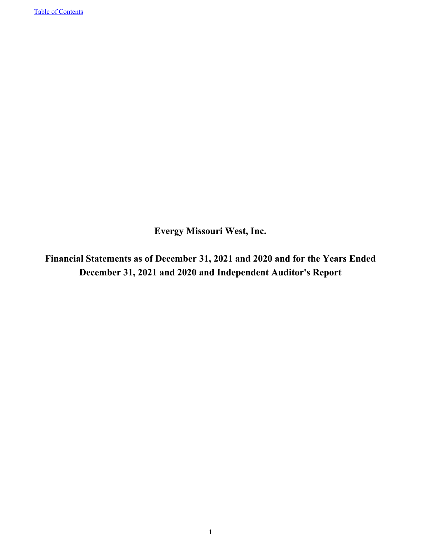**Evergy Missouri West, Inc.**

**Financial Statements as of December 31, 2021 and 2020 and for the Years Ended December 31, 2021 and 2020 and Independent Auditor's Report**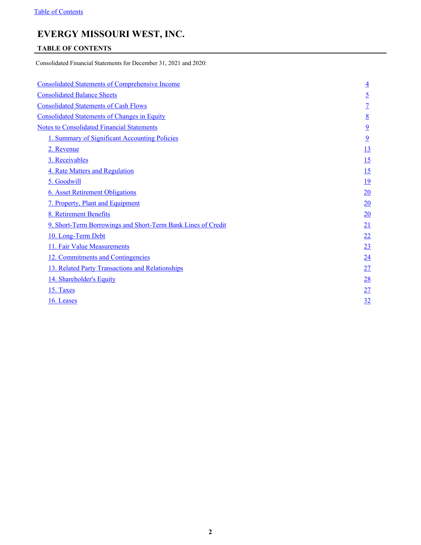# <span id="page-1-0"></span>**EVERGY MISSOURI WEST, INC.**

#### **TABLE OF CONTENTS**

Consolidated Financial Statements for December 31, 2021 and 2020:

| <b>Consolidated Statements of Comprehensive Income</b>       | $\overline{4}$  |
|--------------------------------------------------------------|-----------------|
| <b>Consolidated Balance Sheets</b>                           | $\overline{2}$  |
| <b>Consolidated Statements of Cash Flows</b>                 | $\overline{1}$  |
| <b>Consolidated Statements of Changes in Equity</b>          | $\underline{8}$ |
| <b>Notes to Consolidated Financial Statements</b>            | $\overline{9}$  |
| 1. Summary of Significant Accounting Policies                | $\overline{9}$  |
| 2. Revenue                                                   | 13              |
| 3. Receivables                                               | 15              |
| 4. Rate Matters and Regulation                               | 15              |
| 5. Goodwill                                                  | 19              |
| <b>6. Asset Retirement Obligations</b>                       | 20              |
| 7. Property, Plant and Equipment                             | 20              |
| 8. Retirement Benefits                                       | 20              |
| 9. Short-Term Borrowings and Short-Term Bank Lines of Credit | 21              |
| 10. Long-Term Debt                                           | 22              |
| 11. Fair Value Measurements                                  | 23              |
| 12. Commitments and Contingencies                            | 24              |
| 13. Related Party Transactions and Relationships             | 27              |
| 14. Shareholder's Equity                                     | 28              |
| 15. Taxes                                                    | 27              |
| 16. Leases                                                   | 32              |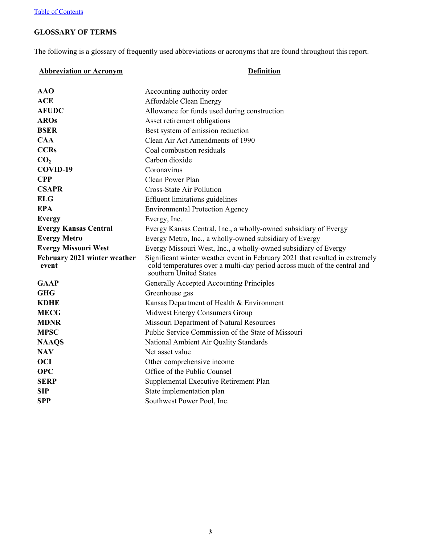# **GLOSSARY OF TERMS**

The following is a glossary of frequently used abbreviations or acronyms that are found throughout this report.

# **Abbreviation or Acronym Definition**

| <b>AAO</b>                            | Accounting authority order                                                                                                                                                         |
|---------------------------------------|------------------------------------------------------------------------------------------------------------------------------------------------------------------------------------|
| <b>ACE</b>                            | <b>Affordable Clean Energy</b>                                                                                                                                                     |
| <b>AFUDC</b>                          | Allowance for funds used during construction                                                                                                                                       |
| <b>AROs</b>                           | Asset retirement obligations                                                                                                                                                       |
| <b>BSER</b>                           | Best system of emission reduction                                                                                                                                                  |
| CAA                                   | Clean Air Act Amendments of 1990                                                                                                                                                   |
| <b>CCRs</b>                           | Coal combustion residuals                                                                                                                                                          |
| CO <sub>2</sub>                       | Carbon dioxide                                                                                                                                                                     |
| COVID-19                              | Coronavirus                                                                                                                                                                        |
| <b>CPP</b>                            | Clean Power Plan                                                                                                                                                                   |
| <b>CSAPR</b>                          | Cross-State Air Pollution                                                                                                                                                          |
| <b>ELG</b>                            | Effluent limitations guidelines                                                                                                                                                    |
| <b>EPA</b>                            | <b>Environmental Protection Agency</b>                                                                                                                                             |
| <b>Evergy</b>                         | Evergy, Inc.                                                                                                                                                                       |
| <b>Evergy Kansas Central</b>          | Evergy Kansas Central, Inc., a wholly-owned subsidiary of Evergy                                                                                                                   |
| <b>Evergy Metro</b>                   | Evergy Metro, Inc., a wholly-owned subsidiary of Evergy                                                                                                                            |
| <b>Evergy Missouri West</b>           | Evergy Missouri West, Inc., a wholly-owned subsidiary of Evergy                                                                                                                    |
| February 2021 winter weather<br>event | Significant winter weather event in February 2021 that resulted in extremely<br>cold temperatures over a multi-day period across much of the central and<br>southern United States |
| <b>GAAP</b>                           | Generally Accepted Accounting Principles                                                                                                                                           |
| <b>GHG</b>                            | Greenhouse gas                                                                                                                                                                     |
| <b>KDHE</b>                           | Kansas Department of Health & Environment                                                                                                                                          |
| <b>MECG</b>                           | Midwest Energy Consumers Group                                                                                                                                                     |
| <b>MDNR</b>                           | Missouri Department of Natural Resources                                                                                                                                           |
| <b>MPSC</b>                           | Public Service Commission of the State of Missouri                                                                                                                                 |
| <b>NAAQS</b>                          | National Ambient Air Quality Standards                                                                                                                                             |
| <b>NAV</b>                            | Net asset value                                                                                                                                                                    |
| <b>OCI</b>                            | Other comprehensive income                                                                                                                                                         |
| <b>OPC</b>                            | Office of the Public Counsel                                                                                                                                                       |
| <b>SERP</b>                           | Supplemental Executive Retirement Plan                                                                                                                                             |
| <b>SIP</b>                            | State implementation plan                                                                                                                                                          |
| <b>SPP</b>                            | Southwest Power Pool, Inc.                                                                                                                                                         |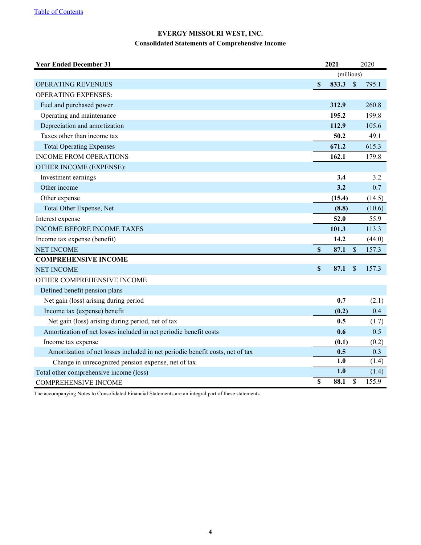# **EVERGY MISSOURI WEST, INC. Consolidated Statements of Comprehensive Income**

<span id="page-3-0"></span>

| <b>Year Ended December 31</b>                                                 |             | 2021       |               | 2020   |
|-------------------------------------------------------------------------------|-------------|------------|---------------|--------|
|                                                                               |             | (millions) |               |        |
| OPERATING REVENUES                                                            | \$          | 833.3      | $\mathcal{S}$ | 795.1  |
| <b>OPERATING EXPENSES:</b>                                                    |             |            |               |        |
| Fuel and purchased power                                                      |             | 312.9      |               | 260.8  |
| Operating and maintenance                                                     |             | 195.2      |               | 199.8  |
| Depreciation and amortization                                                 |             | 112.9      |               | 105.6  |
| Taxes other than income tax                                                   |             | 50.2       |               | 49.1   |
| <b>Total Operating Expenses</b>                                               |             | 671.2      |               | 615.3  |
| <b>INCOME FROM OPERATIONS</b>                                                 |             | 162.1      |               | 179.8  |
| <b>OTHER INCOME (EXPENSE):</b>                                                |             |            |               |        |
| Investment earnings                                                           |             | 3.4        |               | 3.2    |
| Other income                                                                  |             | 3.2        |               | 0.7    |
| Other expense                                                                 |             | (15.4)     |               | (14.5) |
| Total Other Expense, Net                                                      |             | (8.8)      |               | (10.6) |
| Interest expense                                                              |             | 52.0       |               | 55.9   |
| <b>INCOME BEFORE INCOME TAXES</b>                                             |             | 101.3      |               | 113.3  |
| Income tax expense (benefit)                                                  |             | 14.2       |               | (44.0) |
| <b>NET INCOME</b>                                                             | $\mathbf S$ | 87.1       | $\mathsf{\$}$ | 157.3  |
| <b>COMPREHENSIVE INCOME</b>                                                   |             |            |               |        |
| <b>NET INCOME</b>                                                             | $\mathbf S$ | 87.1       | \$            | 157.3  |
| OTHER COMPREHENSIVE INCOME                                                    |             |            |               |        |
| Defined benefit pension plans                                                 |             |            |               |        |
| Net gain (loss) arising during period                                         |             | 0.7        |               | (2.1)  |
| Income tax (expense) benefit                                                  |             | (0.2)      |               | 0.4    |
| Net gain (loss) arising during period, net of tax                             |             | 0.5        |               | (1.7)  |
| Amortization of net losses included in net periodic benefit costs             |             | 0.6        |               | 0.5    |
| Income tax expense                                                            |             | (0.1)      |               | (0.2)  |
| Amortization of net losses included in net periodic benefit costs, net of tax |             | 0.5        |               | 0.3    |
| Change in unrecognized pension expense, net of tax                            |             | 1.0        |               | (1.4)  |
| Total other comprehensive income (loss)                                       |             | 1.0        |               | (1.4)  |
| <b>COMPREHENSIVE INCOME</b>                                                   | \$          | 88.1       | \$            | 155.9  |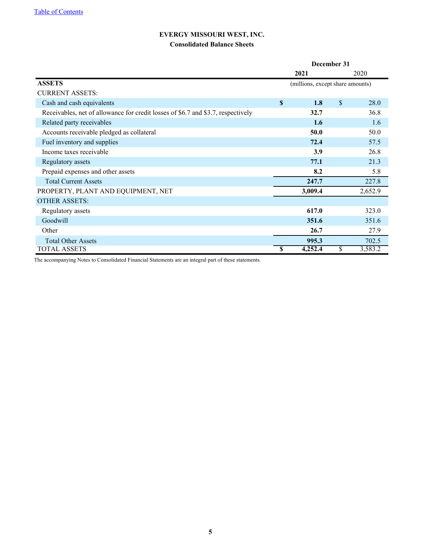# **EVERGY MISSOURI WEST, INC.**

#### **Consolidated Balance Sheets**

<span id="page-4-0"></span>

|                                                                                  | December 31                      |      |         |  |  |
|----------------------------------------------------------------------------------|----------------------------------|------|---------|--|--|
|                                                                                  | 2021                             | 2020 |         |  |  |
| <b>ASSETS</b>                                                                    | (millions, except share amounts) |      |         |  |  |
| <b>CURRENT ASSETS:</b>                                                           |                                  |      |         |  |  |
| Cash and cash equivalents                                                        | \$<br>1.8                        | \$   | 28.0    |  |  |
| Receivables, net of allowance for credit losses of \$6.7 and \$3.7, respectively | 32.7                             |      | 36.8    |  |  |
| Related party receivables                                                        | 1.6                              |      | 1.6     |  |  |
| Accounts receivable pledged as collateral                                        | 50.0                             |      | 50.0    |  |  |
| Fuel inventory and supplies                                                      | 72.4                             |      | 57.5    |  |  |
| Income taxes receivable                                                          | 3.9                              |      | 26.8    |  |  |
| Regulatory assets                                                                | 77.1                             |      | 21.3    |  |  |
| Prepaid expenses and other assets                                                | 8.2                              |      | 5.8     |  |  |
| <b>Total Current Assets</b>                                                      | 247.7                            |      | 227.8   |  |  |
| PROPERTY, PLANT AND EQUIPMENT, NET                                               | 3,009.4                          |      | 2,652.9 |  |  |
| <b>OTHER ASSETS:</b>                                                             |                                  |      |         |  |  |
| Regulatory assets                                                                | 617.0                            |      | 323.0   |  |  |
| Goodwill                                                                         | 351.6                            |      | 351.6   |  |  |
| Other                                                                            | 26.7                             |      | 27.9    |  |  |
| <b>Total Other Assets</b>                                                        | 995.3                            |      | 702.5   |  |  |
| <b>TOTAL ASSETS</b>                                                              | \$<br>4,252.4                    | \$   | 3,583.2 |  |  |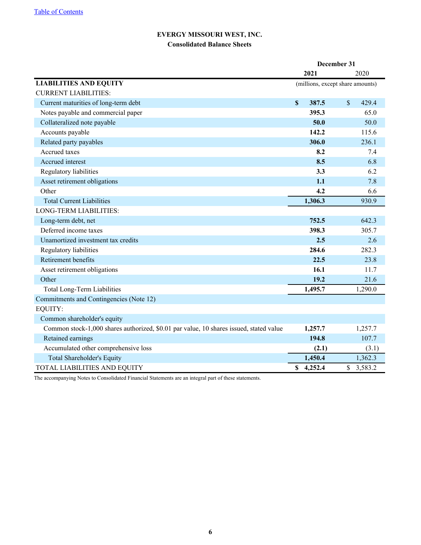#### **EVERGY MISSOURI WEST, INC. Consolidated Balance Sheets**

|                                                                                        | December 31            |                                  |  |  |
|----------------------------------------------------------------------------------------|------------------------|----------------------------------|--|--|
|                                                                                        | 2021                   | 2020                             |  |  |
| <b>LIABILITIES AND EQUITY</b>                                                          |                        | (millions, except share amounts) |  |  |
| <b>CURRENT LIABILITIES:</b>                                                            |                        |                                  |  |  |
| Current maturities of long-term debt                                                   | 387.5<br>\$            | 429.4<br>\$                      |  |  |
| Notes payable and commercial paper                                                     | 395.3                  | 65.0                             |  |  |
| Collateralized note payable                                                            | 50.0                   | 50.0                             |  |  |
| Accounts payable                                                                       | 142.2                  | 115.6                            |  |  |
| Related party payables                                                                 | 306.0                  | 236.1                            |  |  |
| <b>Accrued</b> taxes                                                                   | 8.2                    | 7.4                              |  |  |
| Accrued interest                                                                       | 8.5                    | 6.8                              |  |  |
| Regulatory liabilities                                                                 | 3.3                    | 6.2                              |  |  |
| Asset retirement obligations                                                           | 1.1                    | 7.8                              |  |  |
| Other                                                                                  | 4.2                    | 6.6                              |  |  |
| <b>Total Current Liabilities</b>                                                       | 1,306.3                | 930.9                            |  |  |
| LONG-TERM LIABILITIES:                                                                 |                        |                                  |  |  |
| Long-term debt, net                                                                    | 752.5                  | 642.3                            |  |  |
| Deferred income taxes                                                                  | 398.3                  | 305.7                            |  |  |
| Unamortized investment tax credits                                                     | 2.5                    | 2.6                              |  |  |
| Regulatory liabilities                                                                 | 284.6                  | 282.3                            |  |  |
| Retirement benefits                                                                    | 22.5                   | 23.8                             |  |  |
| Asset retirement obligations                                                           | 16.1                   | 11.7                             |  |  |
| Other                                                                                  | 19.2                   | 21.6                             |  |  |
| <b>Total Long-Term Liabilities</b>                                                     | 1,495.7                | 1,290.0                          |  |  |
| Commitments and Contingencies (Note 12)                                                |                        |                                  |  |  |
| EQUITY:                                                                                |                        |                                  |  |  |
| Common shareholder's equity                                                            |                        |                                  |  |  |
| Common stock-1,000 shares authorized, \$0.01 par value, 10 shares issued, stated value | 1,257.7                | 1,257.7                          |  |  |
| Retained earnings                                                                      | 194.8                  | 107.7                            |  |  |
| Accumulated other comprehensive loss                                                   | (2.1)                  | (3.1)                            |  |  |
| <b>Total Shareholder's Equity</b>                                                      | 1,450.4                | 1,362.3                          |  |  |
| TOTAL LIABILITIES AND EQUITY                                                           | $\mathbf S$<br>4,252.4 | \$<br>3,583.2                    |  |  |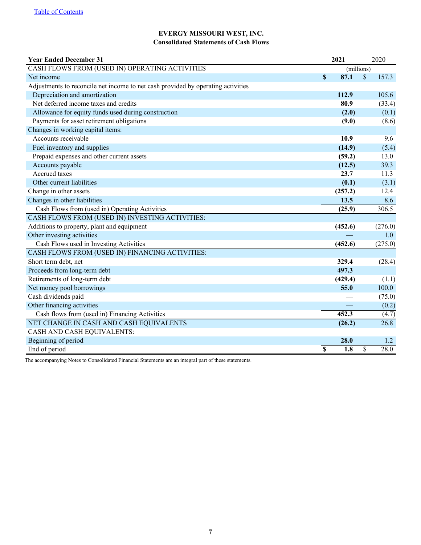#### **EVERGY MISSOURI WEST, INC. Consolidated Statements of Cash Flows**

<span id="page-6-0"></span>

| <b>Year Ended December 31</b>                                                    |                 | 2021             |                 | 2020    |
|----------------------------------------------------------------------------------|-----------------|------------------|-----------------|---------|
| CASH FLOWS FROM (USED IN) OPERATING ACTIVITIES                                   |                 | (millions)       |                 |         |
| Net income                                                                       | \$              | 87.1             | $\mathsf{\$}$   | 157.3   |
| Adjustments to reconcile net income to net cash provided by operating activities |                 |                  |                 |         |
| Depreciation and amortization                                                    |                 | 112.9            |                 | 105.6   |
| Net deferred income taxes and credits                                            |                 | 80.9             |                 | (33.4)  |
| Allowance for equity funds used during construction                              |                 | (2.0)            |                 | (0.1)   |
| Payments for asset retirement obligations                                        |                 | (9.0)            |                 | (8.6)   |
| Changes in working capital items:                                                |                 |                  |                 |         |
| Accounts receivable                                                              |                 | 10.9             |                 | 9.6     |
| Fuel inventory and supplies                                                      |                 | (14.9)           |                 | (5.4)   |
| Prepaid expenses and other current assets                                        |                 | (59.2)           |                 | 13.0    |
| Accounts payable                                                                 |                 | (12.5)           |                 | 39.3    |
| <b>Accrued</b> taxes                                                             |                 | 23.7             |                 | 11.3    |
| Other current liabilities                                                        |                 | (0.1)            |                 | (3.1)   |
| Change in other assets                                                           |                 | (257.2)          |                 | 12.4    |
| Changes in other liabilities                                                     |                 | 13.5             |                 | 8.6     |
| Cash Flows from (used in) Operating Activities                                   |                 | (25.9)           |                 | 306.5   |
| CASH FLOWS FROM (USED IN) INVESTING ACTIVITIES:                                  |                 |                  |                 |         |
| Additions to property, plant and equipment                                       |                 | (452.6)          |                 | (276.0) |
| Other investing activities                                                       |                 |                  |                 | 1.0     |
| Cash Flows used in Investing Activities                                          |                 | (452.6)          |                 | (275.0) |
| CASH FLOWS FROM (USED IN) FINANCING ACTIVITIES:                                  |                 |                  |                 |         |
| Short term debt, net                                                             |                 | 329.4            |                 | (28.4)  |
| Proceeds from long-term debt                                                     |                 | 497.3            |                 |         |
| Retirements of long-term debt                                                    |                 | (429.4)          |                 | (1.1)   |
| Net money pool borrowings                                                        |                 | 55.0             |                 | 100.0   |
| Cash dividends paid                                                              |                 |                  |                 | (75.0)  |
| Other financing activities                                                       |                 |                  |                 | (0.2)   |
| Cash flows from (used in) Financing Activities                                   |                 | 452.3            |                 | (4.7)   |
| NET CHANGE IN CASH AND CASH EQUIVALENTS                                          |                 | (26.2)           |                 | 26.8    |
| CASH AND CASH EQUIVALENTS:                                                       |                 |                  |                 |         |
| Beginning of period                                                              |                 | 28.0             |                 | 1.2     |
| End of period                                                                    | $\overline{\$}$ | $\overline{1.8}$ | $\overline{\$}$ | 28.0    |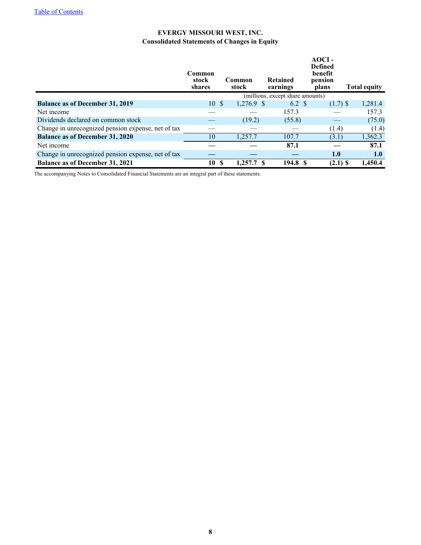#### **EVERGY MISSOURI WEST, INC. Consolidated Statements of Changes in Equity**

<span id="page-7-0"></span>

|                                                    | Common<br>stock<br>shares | Common<br>stock | <b>Retained</b><br>earnings      | AOCI-<br><b>Defined</b><br>benefit<br>pension<br>plans | <b>Total equity</b> |
|----------------------------------------------------|---------------------------|-----------------|----------------------------------|--------------------------------------------------------|---------------------|
|                                                    |                           |                 | (millions, except share amounts) |                                                        |                     |
| <b>Balance as of December 31, 2019</b>             | 10S                       | $1,276.9$ \$    | 6.2 \$                           | $(1.7)$ \$                                             | 1,281.4             |
| Net income                                         |                           |                 | 157.3                            |                                                        | 157.3               |
| Dividends declared on common stock                 |                           | (19.2)          | (55.8)                           |                                                        | (75.0)              |
| Change in unrecognized pension expense, net of tax |                           |                 |                                  | (1.4)                                                  | (1.4)               |
| <b>Balance as of December 31, 2020</b>             | 10                        | 1,257.7         | 107.7                            | (3.1)                                                  | 1,362.3             |
| Net income                                         |                           |                 | 87.1                             |                                                        | 87.1                |
| Change in unrecognized pension expense, net of tax |                           |                 |                                  | 1.0                                                    | 1.0                 |
| <b>Balance as of December 31, 2021</b>             | 10S                       | 1.257.7 S       | 194.8 S                          | $(2.1)$ \$                                             | 1,450.4             |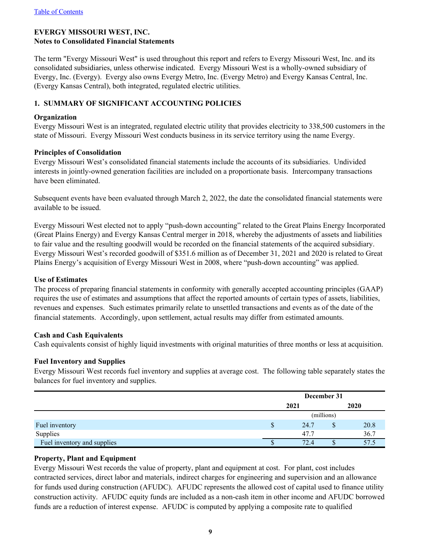#### <span id="page-8-0"></span>**EVERGY MISSOURI WEST, INC. Notes to Consolidated Financial Statements**

The term "Evergy Missouri West" is used throughout this report and refers to Evergy Missouri West, Inc. and its consolidated subsidiaries, unless otherwise indicated. Evergy Missouri West is a wholly-owned subsidiary of Evergy, Inc. (Evergy). Evergy also owns Evergy Metro, Inc. (Evergy Metro) and Evergy Kansas Central, Inc. (Evergy Kansas Central), both integrated, regulated electric utilities.

#### **1. SUMMARY OF SIGNIFICANT ACCOUNTING POLICIES**

#### **Organization**

Evergy Missouri West is an integrated, regulated electric utility that provides electricity to 338,500 customers in the state of Missouri. Evergy Missouri West conducts business in its service territory using the name Evergy.

#### **Principles of Consolidation**

Evergy Missouri West's consolidated financial statements include the accounts of its subsidiaries. Undivided interests in jointly-owned generation facilities are included on a proportionate basis. Intercompany transactions have been eliminated.

Subsequent events have been evaluated through March 2, 2022, the date the consolidated financial statements were available to be issued.

Evergy Missouri West elected not to apply "push-down accounting" related to the Great Plains Energy Incorporated (Great Plains Energy) and Evergy Kansas Central merger in 2018, whereby the adjustments of assets and liabilities to fair value and the resulting goodwill would be recorded on the financial statements of the acquired subsidiary. Evergy Missouri West's recorded goodwill of \$351.6 million as of December 31, 2021 and 2020 is related to Great Plains Energy's acquisition of Evergy Missouri West in 2008, where "push-down accounting" was applied.

#### **Use of Estimates**

The process of preparing financial statements in conformity with generally accepted accounting principles (GAAP) requires the use of estimates and assumptions that affect the reported amounts of certain types of assets, liabilities, revenues and expenses. Such estimates primarily relate to unsettled transactions and events as of the date of the financial statements. Accordingly, upon settlement, actual results may differ from estimated amounts.

#### **Cash and Cash Equivalents**

Cash equivalents consist of highly liquid investments with original maturities of three months or less at acquisition.

#### **Fuel Inventory and Supplies**

Evergy Missouri West records fuel inventory and supplies at average cost. The following table separately states the balances for fuel inventory and supplies.

|                             |   | December 31 |  |      |  |  |  |
|-----------------------------|---|-------------|--|------|--|--|--|
|                             |   | 2021        |  |      |  |  |  |
|                             |   | (millions)  |  |      |  |  |  |
| Fuel inventory              | D | 24.7        |  | 20.8 |  |  |  |
| Supplies                    |   | 47.7        |  | 36.7 |  |  |  |
| Fuel inventory and supplies |   | 72.4        |  |      |  |  |  |

#### **Property, Plant and Equipment**

Evergy Missouri West records the value of property, plant and equipment at cost. For plant, cost includes contracted services, direct labor and materials, indirect charges for engineering and supervision and an allowance for funds used during construction (AFUDC). AFUDC represents the allowed cost of capital used to finance utility construction activity. AFUDC equity funds are included as a non-cash item in other income and AFUDC borrowed funds are a reduction of interest expense. AFUDC is computed by applying a composite rate to qualified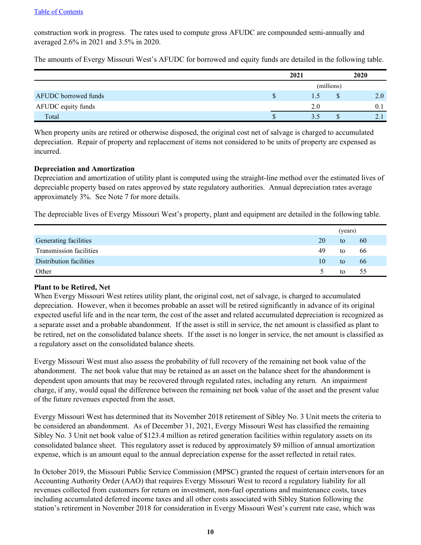construction work in progress. The rates used to compute gross AFUDC are compounded semi-annually and averaged 2.6% in 2021 and 3.5% in 2020.

The amounts of Evergy Missouri West's AFUDC for borrowed and equity funds are detailed in the following table.

|                      | 2021       |   | 2020 |
|----------------------|------------|---|------|
|                      | (millions) |   |      |
| AFUDC borrowed funds |            | D | 2.0  |
| AFUDC equity funds   | 2.0        |   |      |
| Total                |            |   |      |

When property units are retired or otherwise disposed, the original cost net of salvage is charged to accumulated depreciation. Repair of property and replacement of items not considered to be units of property are expensed as incurred.

#### **Depreciation and Amortization**

Depreciation and amortization of utility plant is computed using the straight-line method over the estimated lives of depreciable property based on rates approved by state regulatory authorities. Annual depreciation rates average approximately 3%. See Note 7 for more details.

The depreciable lives of Evergy Missouri West's property, plant and equipment are detailed in the following table.

|                         |    | (years) |    |  |  |
|-------------------------|----|---------|----|--|--|
| Generating facilities   | 20 | to      | 60 |  |  |
| Transmission facilities | 49 | to      | 66 |  |  |
| Distribution facilities | 10 | to      | 66 |  |  |
| Other                   |    | to      | 55 |  |  |

#### **Plant to be Retired, Net**

When Evergy Missouri West retires utility plant, the original cost, net of salvage, is charged to accumulated depreciation. However, when it becomes probable an asset will be retired significantly in advance of its original expected useful life and in the near term, the cost of the asset and related accumulated depreciation is recognized as a separate asset and a probable abandonment. If the asset is still in service, the net amount is classified as plant to be retired, net on the consolidated balance sheets. If the asset is no longer in service, the net amount is classified as a regulatory asset on the consolidated balance sheets.

Evergy Missouri West must also assess the probability of full recovery of the remaining net book value of the abandonment. The net book value that may be retained as an asset on the balance sheet for the abandonment is dependent upon amounts that may be recovered through regulated rates, including any return. An impairment charge, if any, would equal the difference between the remaining net book value of the asset and the present value of the future revenues expected from the asset.

Evergy Missouri West has determined that its November 2018 retirement of Sibley No. 3 Unit meets the criteria to be considered an abandonment. As of December 31, 2021, Evergy Missouri West has classified the remaining Sibley No. 3 Unit net book value of \$123.4 million as retired generation facilities within regulatory assets on its consolidated balance sheet. This regulatory asset is reduced by approximately \$9 million of annual amortization expense, which is an amount equal to the annual depreciation expense for the asset reflected in retail rates.

In October 2019, the Missouri Public Service Commission (MPSC) granted the request of certain intervenors for an Accounting Authority Order (AAO) that requires Evergy Missouri West to record a regulatory liability for all revenues collected from customers for return on investment, non-fuel operations and maintenance costs, taxes including accumulated deferred income taxes and all other costs associated with Sibley Station following the station's retirement in November 2018 for consideration in Evergy Missouri West's current rate case, which was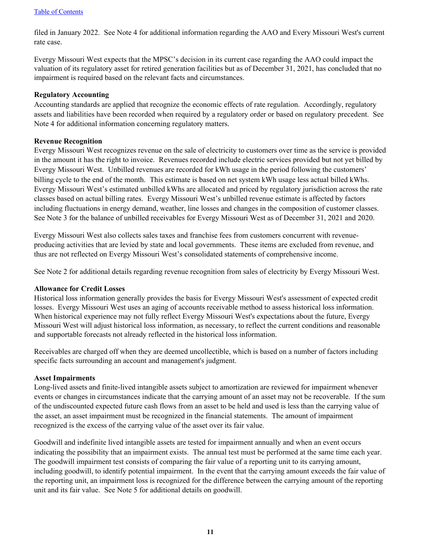filed in January 2022. See Note 4 for additional information regarding the AAO and Every Missouri West's current rate case.

Evergy Missouri West expects that the MPSC's decision in its current case regarding the AAO could impact the valuation of its regulatory asset for retired generation facilities but as of December 31, 2021, has concluded that no impairment is required based on the relevant facts and circumstances.

#### **Regulatory Accounting**

Accounting standards are applied that recognize the economic effects of rate regulation. Accordingly, regulatory assets and liabilities have been recorded when required by a regulatory order or based on regulatory precedent. See Note 4 for additional information concerning regulatory matters.

#### **Revenue Recognition**

Evergy Missouri West recognizes revenue on the sale of electricity to customers over time as the service is provided in the amount it has the right to invoice. Revenues recorded include electric services provided but not yet billed by Evergy Missouri West. Unbilled revenues are recorded for kWh usage in the period following the customers' billing cycle to the end of the month. This estimate is based on net system kWh usage less actual billed kWhs. Evergy Missouri West's estimated unbilled kWhs are allocated and priced by regulatory jurisdiction across the rate classes based on actual billing rates. Evergy Missouri West's unbilled revenue estimate is affected by factors including fluctuations in energy demand, weather, line losses and changes in the composition of customer classes. See Note 3 for the balance of unbilled receivables for Evergy Missouri West as of December 31, 2021 and 2020.

Evergy Missouri West also collects sales taxes and franchise fees from customers concurrent with revenueproducing activities that are levied by state and local governments. These items are excluded from revenue, and thus are not reflected on Evergy Missouri West's consolidated statements of comprehensive income.

See Note 2 for additional details regarding revenue recognition from sales of electricity by Evergy Missouri West.

#### **Allowance for Credit Losses**

Historical loss information generally provides the basis for Evergy Missouri West's assessment of expected credit losses. Evergy Missouri West uses an aging of accounts receivable method to assess historical loss information. When historical experience may not fully reflect Evergy Missouri West's expectations about the future, Evergy Missouri West will adjust historical loss information, as necessary, to reflect the current conditions and reasonable and supportable forecasts not already reflected in the historical loss information.

Receivables are charged off when they are deemed uncollectible, which is based on a number of factors including specific facts surrounding an account and management's judgment.

#### **Asset Impairments**

Long-lived assets and finite-lived intangible assets subject to amortization are reviewed for impairment whenever events or changes in circumstances indicate that the carrying amount of an asset may not be recoverable. If the sum of the undiscounted expected future cash flows from an asset to be held and used is less than the carrying value of the asset, an asset impairment must be recognized in the financial statements. The amount of impairment recognized is the excess of the carrying value of the asset over its fair value.

Goodwill and indefinite lived intangible assets are tested for impairment annually and when an event occurs indicating the possibility that an impairment exists. The annual test must be performed at the same time each year. The goodwill impairment test consists of comparing the fair value of a reporting unit to its carrying amount, including goodwill, to identify potential impairment. In the event that the carrying amount exceeds the fair value of the reporting unit, an impairment loss is recognized for the difference between the carrying amount of the reporting unit and its fair value. See Note 5 for additional details on goodwill.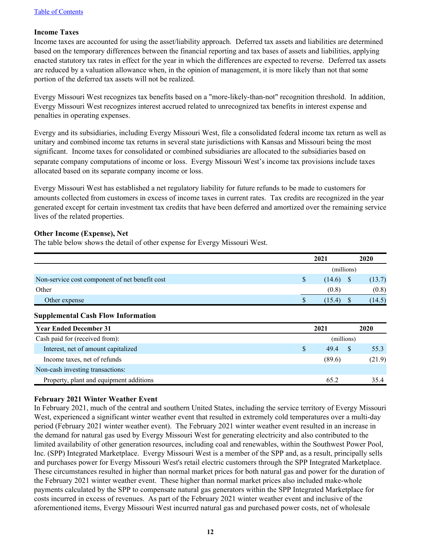#### [Table of Contents](#page-1-0)

#### **Income Taxes**

Income taxes are accounted for using the asset/liability approach. Deferred tax assets and liabilities are determined based on the temporary differences between the financial reporting and tax bases of assets and liabilities, applying enacted statutory tax rates in effect for the year in which the differences are expected to reverse. Deferred tax assets are reduced by a valuation allowance when, in the opinion of management, it is more likely than not that some portion of the deferred tax assets will not be realized.

Evergy Missouri West recognizes tax benefits based on a "more-likely-than-not" recognition threshold. In addition, Evergy Missouri West recognizes interest accrued related to unrecognized tax benefits in interest expense and penalties in operating expenses.

Evergy and its subsidiaries, including Evergy Missouri West, file a consolidated federal income tax return as well as unitary and combined income tax returns in several state jurisdictions with Kansas and Missouri being the most significant. Income taxes for consolidated or combined subsidiaries are allocated to the subsidiaries based on separate company computations of income or loss. Evergy Missouri West's income tax provisions include taxes allocated based on its separate company income or loss.

Evergy Missouri West has established a net regulatory liability for future refunds to be made to customers for amounts collected from customers in excess of income taxes in current rates. Tax credits are recognized in the year generated except for certain investment tax credits that have been deferred and amortized over the remaining service lives of the related properties.

#### **Other Income (Expense), Net**

The table below shows the detail of other expense for Evergy Missouri West.

|                                                | 2021       | 2020   |
|------------------------------------------------|------------|--------|
|                                                | (millions) |        |
| Non-service cost component of net benefit cost | (14.6)     | (13.7) |
| Other                                          | (0.8)      | (0.8)  |
| Other expense                                  | (15.4)     | (14.5) |

#### **Supplemental Cash Flow Information**

| <b>Year Ended December 31</b>           | 2021       | 2020   |
|-----------------------------------------|------------|--------|
| Cash paid for (received from):          | (millions) |        |
| Interest, net of amount capitalized     | 49.4       | 55.3   |
| Income taxes, net of refunds            | (89.6)     | (21.9) |
| Non-cash investing transactions:        |            |        |
| Property, plant and equipment additions | 65.2       | 35.4   |

#### **February 2021 Winter Weather Event**

In February 2021, much of the central and southern United States, including the service territory of Evergy Missouri West, experienced a significant winter weather event that resulted in extremely cold temperatures over a multi-day period (February 2021 winter weather event). The February 2021 winter weather event resulted in an increase in the demand for natural gas used by Evergy Missouri West for generating electricity and also contributed to the limited availability of other generation resources, including coal and renewables, within the Southwest Power Pool, Inc. (SPP) Integrated Marketplace. Evergy Missouri West is a member of the SPP and, as a result, principally sells and purchases power for Evergy Missouri West's retail electric customers through the SPP Integrated Marketplace. These circumstances resulted in higher than normal market prices for both natural gas and power for the duration of the February 2021 winter weather event. These higher than normal market prices also included make-whole payments calculated by the SPP to compensate natural gas generators within the SPP Integrated Marketplace for costs incurred in excess of revenues. As part of the February 2021 winter weather event and inclusive of the aforementioned items, Evergy Missouri West incurred natural gas and purchased power costs, net of wholesale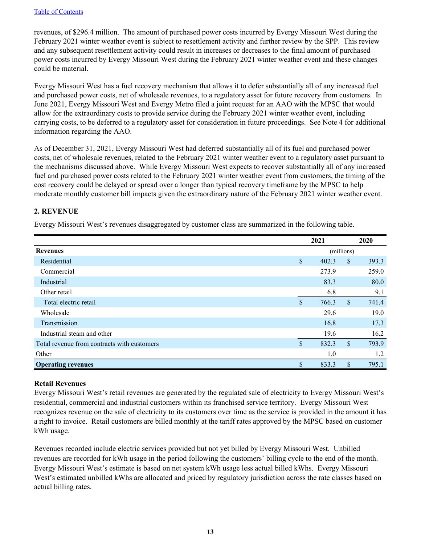<span id="page-12-0"></span>revenues, of \$296.4 million. The amount of purchased power costs incurred by Evergy Missouri West during the February 2021 winter weather event is subject to resettlement activity and further review by the SPP. This review and any subsequent resettlement activity could result in increases or decreases to the final amount of purchased power costs incurred by Evergy Missouri West during the February 2021 winter weather event and these changes could be material.

Evergy Missouri West has a fuel recovery mechanism that allows it to defer substantially all of any increased fuel and purchased power costs, net of wholesale revenues, to a regulatory asset for future recovery from customers. In June 2021, Evergy Missouri West and Evergy Metro filed a joint request for an AAO with the MPSC that would allow for the extraordinary costs to provide service during the February 2021 winter weather event, including carrying costs, to be deferred to a regulatory asset for consideration in future proceedings. See Note 4 for additional information regarding the AAO.

As of December 31, 2021, Evergy Missouri West had deferred substantially all of its fuel and purchased power costs, net of wholesale revenues, related to the February 2021 winter weather event to a regulatory asset pursuant to the mechanisms discussed above. While Evergy Missouri West expects to recover substantially all of any increased fuel and purchased power costs related to the February 2021 winter weather event from customers, the timing of the cost recovery could be delayed or spread over a longer than typical recovery timeframe by the MPSC to help moderate monthly customer bill impacts given the extraordinary nature of the February 2021 winter weather event.

#### **2. REVENUE**

Evergy Missouri West's revenues disaggregated by customer class are summarized in the following table.

|                                             |               | 2021  |               | 2020  |
|---------------------------------------------|---------------|-------|---------------|-------|
| <b>Revenues</b>                             |               |       | (millions)    |       |
| Residential                                 | \$            | 402.3 | $\mathbb{S}$  | 393.3 |
| Commercial                                  |               | 273.9 |               | 259.0 |
| Industrial                                  |               | 83.3  |               | 80.0  |
| Other retail                                |               | 6.8   |               | 9.1   |
| Total electric retail                       | \$            | 766.3 | $\mathbb{S}$  | 741.4 |
| Wholesale                                   |               | 29.6  |               | 19.0  |
| Transmission                                |               | 16.8  |               | 17.3  |
| Industrial steam and other                  |               | 19.6  |               | 16.2  |
| Total revenue from contracts with customers | $\mathcal{S}$ | 832.3 | <sup>\$</sup> | 793.9 |
| Other                                       |               | 1.0   |               | 1.2   |
| <b>Operating revenues</b>                   | \$            | 833.3 | <sup>\$</sup> | 795.1 |

#### **Retail Revenues**

Evergy Missouri West's retail revenues are generated by the regulated sale of electricity to Evergy Missouri West's residential, commercial and industrial customers within its franchised service territory. Evergy Missouri West recognizes revenue on the sale of electricity to its customers over time as the service is provided in the amount it has a right to invoice. Retail customers are billed monthly at the tariff rates approved by the MPSC based on customer kWh usage.

Revenues recorded include electric services provided but not yet billed by Evergy Missouri West. Unbilled revenues are recorded for kWh usage in the period following the customers' billing cycle to the end of the month. Evergy Missouri West's estimate is based on net system kWh usage less actual billed kWhs. Evergy Missouri West's estimated unbilled kWhs are allocated and priced by regulatory jurisdiction across the rate classes based on actual billing rates.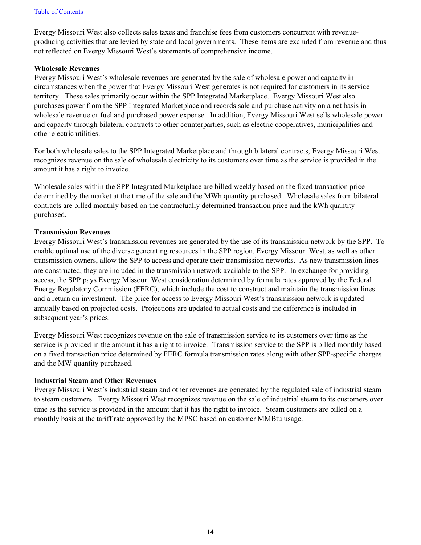Evergy Missouri West also collects sales taxes and franchise fees from customers concurrent with revenueproducing activities that are levied by state and local governments. These items are excluded from revenue and thus not reflected on Evergy Missouri West's statements of comprehensive income.

#### **Wholesale Revenues**

Evergy Missouri West's wholesale revenues are generated by the sale of wholesale power and capacity in circumstances when the power that Evergy Missouri West generates is not required for customers in its service territory. These sales primarily occur within the SPP Integrated Marketplace. Evergy Missouri West also purchases power from the SPP Integrated Marketplace and records sale and purchase activity on a net basis in wholesale revenue or fuel and purchased power expense. In addition, Evergy Missouri West sells wholesale power and capacity through bilateral contracts to other counterparties, such as electric cooperatives, municipalities and other electric utilities.

For both wholesale sales to the SPP Integrated Marketplace and through bilateral contracts, Evergy Missouri West recognizes revenue on the sale of wholesale electricity to its customers over time as the service is provided in the amount it has a right to invoice.

Wholesale sales within the SPP Integrated Marketplace are billed weekly based on the fixed transaction price determined by the market at the time of the sale and the MWh quantity purchased. Wholesale sales from bilateral contracts are billed monthly based on the contractually determined transaction price and the kWh quantity purchased.

#### **Transmission Revenues**

Evergy Missouri West's transmission revenues are generated by the use of its transmission network by the SPP. To enable optimal use of the diverse generating resources in the SPP region, Evergy Missouri West, as well as other transmission owners, allow the SPP to access and operate their transmission networks. As new transmission lines are constructed, they are included in the transmission network available to the SPP. In exchange for providing access, the SPP pays Evergy Missouri West consideration determined by formula rates approved by the Federal Energy Regulatory Commission (FERC), which include the cost to construct and maintain the transmission lines and a return on investment. The price for access to Evergy Missouri West's transmission network is updated annually based on projected costs. Projections are updated to actual costs and the difference is included in subsequent year's prices.

Evergy Missouri West recognizes revenue on the sale of transmission service to its customers over time as the service is provided in the amount it has a right to invoice. Transmission service to the SPP is billed monthly based on a fixed transaction price determined by FERC formula transmission rates along with other SPP-specific charges and the MW quantity purchased.

#### **Industrial Steam and Other Revenues**

Evergy Missouri West's industrial steam and other revenues are generated by the regulated sale of industrial steam to steam customers. Evergy Missouri West recognizes revenue on the sale of industrial steam to its customers over time as the service is provided in the amount that it has the right to invoice. Steam customers are billed on a monthly basis at the tariff rate approved by the MPSC based on customer MMBtu usage.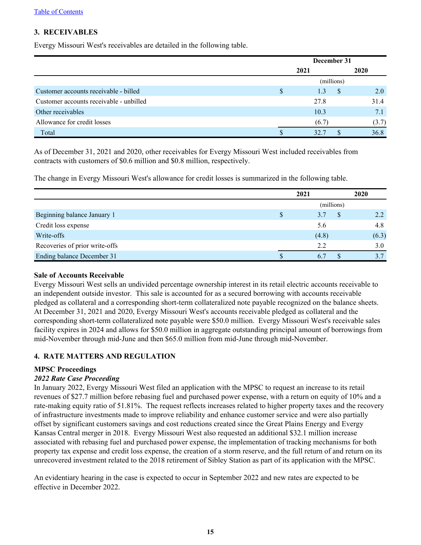#### <span id="page-14-0"></span>**3. RECEIVABLES**

Evergy Missouri West's receivables are detailed in the following table.

|                                         |          | December 31 |              |       |  |  |  |
|-----------------------------------------|----------|-------------|--------------|-------|--|--|--|
|                                         |          | 2021        |              | 2020  |  |  |  |
|                                         |          | (millions)  |              |       |  |  |  |
| Customer accounts receivable - billed   | S        | 1.3         | <sup>S</sup> | 2.0   |  |  |  |
| Customer accounts receivable - unbilled |          | 27.8        |              | 31.4  |  |  |  |
| Other receivables                       |          | 10.3        |              | 7.1   |  |  |  |
| Allowance for credit losses             |          | (6.7)       |              | (3.7) |  |  |  |
| Total                                   | <b>S</b> | 32.7        | S            | 36.8  |  |  |  |

As of December 31, 2021 and 2020, other receivables for Evergy Missouri West included receivables from contracts with customers of \$0.6 million and \$0.8 million, respectively.

The change in Evergy Missouri West's allowance for credit losses is summarized in the following table.

|                                |    | 2021         | 2020  |
|--------------------------------|----|--------------|-------|
|                                |    | (millions)   |       |
| Beginning balance January 1    |    | S<br>3.7     |       |
| Credit loss expense            |    | 5.6          | 4.8   |
| Write-offs                     |    | (4.8)        | (6.3) |
| Recoveries of prior write-offs |    | 2.2          | 3.0   |
| Ending balance December 31     | Ъ. | $\mathbf{b}$ |       |

#### **Sale of Accounts Receivable**

Evergy Missouri West sells an undivided percentage ownership interest in its retail electric accounts receivable to an independent outside investor. This sale is accounted for as a secured borrowing with accounts receivable pledged as collateral and a corresponding short-term collateralized note payable recognized on the balance sheets. At December 31, 2021 and 2020, Evergy Missouri West's accounts receivable pledged as collateral and the corresponding short-term collateralized note payable were \$50.0 million. Evergy Missouri West's receivable sales facility expires in 2024 and allows for \$50.0 million in aggregate outstanding principal amount of borrowings from mid-November through mid-June and then \$65.0 million from mid-June through mid-November.

#### **4. RATE MATTERS AND REGULATION**

#### **MPSC Proceedings**

#### *2022 Rate Case Proceeding*

In January 2022, Evergy Missouri West filed an application with the MPSC to request an increase to its retail revenues of \$27.7 million before rebasing fuel and purchased power expense, with a return on equity of 10% and a rate-making equity ratio of 51.81%. The request reflects increases related to higher property taxes and the recovery of infrastructure investments made to improve reliability and enhance customer service and were also partially offset by significant customers savings and cost reductions created since the Great Plains Energy and Evergy Kansas Central merger in 2018. Evergy Missouri West also requested an additional \$32.1 million increase associated with rebasing fuel and purchased power expense, the implementation of tracking mechanisms for both property tax expense and credit loss expense, the creation of a storm reserve, and the full return of and return on its unrecovered investment related to the 2018 retirement of Sibley Station as part of its application with the MPSC.

An evidentiary hearing in the case is expected to occur in September 2022 and new rates are expected to be effective in December 2022.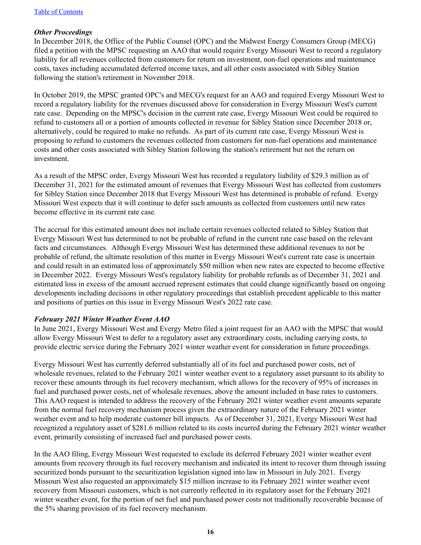#### *Other Proceedings*

In December 2018, the Office of the Public Counsel (OPC) and the Midwest Energy Consumers Group (MECG) filed a petition with the MPSC requesting an AAO that would require Evergy Missouri West to record a regulatory liability for all revenues collected from customers for return on investment, non-fuel operations and maintenance costs, taxes including accumulated deferred income taxes, and all other costs associated with Sibley Station following the station's retirement in November 2018.

In October 2019, the MPSC granted OPC's and MECG's request for an AAO and required Evergy Missouri West to record a regulatory liability for the revenues discussed above for consideration in Evergy Missouri West's current rate case. Depending on the MPSC's decision in the current rate case, Evergy Missouri West could be required to refund to customers all or a portion of amounts collected in revenue for Sibley Station since December 2018 or, alternatively, could be required to make no refunds. As part of its current rate case, Evergy Missouri West is proposing to refund to customers the revenues collected from customers for non-fuel operations and maintenance costs and other costs associated with Sibley Station following the station's retirement but not the return on investment.

As a result of the MPSC order, Evergy Missouri West has recorded a regulatory liability of \$29.3 million as of December 31, 2021 for the estimated amount of revenues that Evergy Missouri West has collected from customers for Sibley Station since December 2018 that Evergy Missouri West has determined is probable of refund. Evergy Missouri West expects that it will continue to defer such amounts as collected from customers until new rates become effective in its current rate case.

The accrual for this estimated amount does not include certain revenues collected related to Sibley Station that Evergy Missouri West has determined to not be probable of refund in the current rate case based on the relevant facts and circumstances. Although Evergy Missouri West has determined these additional revenues to not be probable of refund, the ultimate resolution of this matter in Evergy Missouri West's current rate case is uncertain and could result in an estimated loss of approximately \$50 million when new rates are expected to become effective in December 2022. Evergy Missouri West's regulatory liability for probable refunds as of December 31, 2021 and estimated loss in excess of the amount accrued represent estimates that could change significantly based on ongoing developments including decisions in other regulatory proceedings that establish precedent applicable to this matter and positions of parties on this issue in Evergy Missouri West's 2022 rate case.

#### *February 2021 Winter Weather Event AAO*

In June 2021, Evergy Missouri West and Evergy Metro filed a joint request for an AAO with the MPSC that would allow Evergy Missouri West to defer to a regulatory asset any extraordinary costs, including carrying costs, to provide electric service during the February 2021 winter weather event for consideration in future proceedings.

Evergy Missouri West has currently deferred substantially all of its fuel and purchased power costs, net of wholesale revenues, related to the February 2021 winter weather event to a regulatory asset pursuant to its ability to recover these amounts through its fuel recovery mechanism, which allows for the recovery of 95% of increases in fuel and purchased power costs, net of wholesale revenues, above the amount included in base rates to customers. This AAO request is intended to address the recovery of the February 2021 winter weather event amounts separate from the normal fuel recovery mechanism process given the extraordinary nature of the February 2021 winter weather event and to help moderate customer bill impacts. As of December 31, 2021, Evergy Missouri West had recognized a regulatory asset of \$281.6 million related to its costs incurred during the February 2021 winter weather event, primarily consisting of increased fuel and purchased power costs.

In the AAO filing, Evergy Missouri West requested to exclude its deferred February 2021 winter weather event amounts from recovery through its fuel recovery mechanism and indicated its intent to recover them through issuing securitized bonds pursuant to the securitization legislation signed into law in Missouri in July 2021. Evergy Missouri West also requested an approximately \$15 million increase to its February 2021 winter weather event recovery from Missouri customers, which is not currently reflected in its regulatory asset for the February 2021 winter weather event, for the portion of net fuel and purchased power costs not traditionally recoverable because of the 5% sharing provision of its fuel recovery mechanism.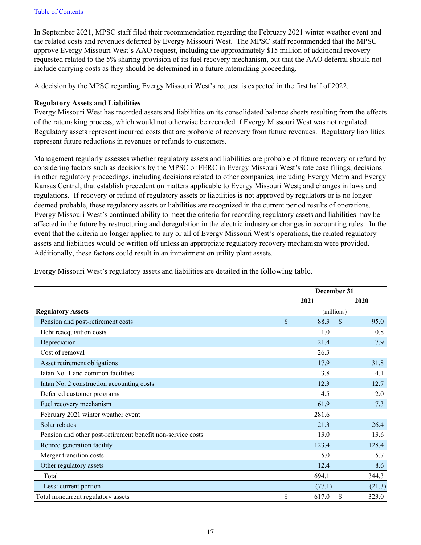In September 2021, MPSC staff filed their recommendation regarding the February 2021 winter weather event and the related costs and revenues deferred by Evergy Missouri West. The MPSC staff recommended that the MPSC approve Evergy Missouri West's AAO request, including the approximately \$15 million of additional recovery requested related to the 5% sharing provision of its fuel recovery mechanism, but that the AAO deferral should not include carrying costs as they should be determined in a future ratemaking proceeding.

A decision by the MPSC regarding Evergy Missouri West's request is expected in the first half of 2022.

#### **Regulatory Assets and Liabilities**

Evergy Missouri West has recorded assets and liabilities on its consolidated balance sheets resulting from the effects of the ratemaking process, which would not otherwise be recorded if Evergy Missouri West was not regulated. Regulatory assets represent incurred costs that are probable of recovery from future revenues. Regulatory liabilities represent future reductions in revenues or refunds to customers.

Management regularly assesses whether regulatory assets and liabilities are probable of future recovery or refund by considering factors such as decisions by the MPSC or FERC in Evergy Missouri West's rate case filings; decisions in other regulatory proceedings, including decisions related to other companies, including Evergy Metro and Evergy Kansas Central, that establish precedent on matters applicable to Evergy Missouri West; and changes in laws and regulations. If recovery or refund of regulatory assets or liabilities is not approved by regulators or is no longer deemed probable, these regulatory assets or liabilities are recognized in the current period results of operations. Evergy Missouri West's continued ability to meet the criteria for recording regulatory assets and liabilities may be affected in the future by restructuring and deregulation in the electric industry or changes in accounting rules. In the event that the criteria no longer applied to any or all of Evergy Missouri West's operations, the related regulatory assets and liabilities would be written off unless an appropriate regulatory recovery mechanism were provided. Additionally, these factors could result in an impairment on utility plant assets.

|                                                             |      | December 31           |        |
|-------------------------------------------------------------|------|-----------------------|--------|
|                                                             | 2021 |                       | 2020   |
| <b>Regulatory Assets</b>                                    |      | (millions)            |        |
| Pension and post-retirement costs                           | \$   | 88.3<br><sup>\$</sup> | 95.0   |
| Debt reacquisition costs                                    |      | 1.0                   | 0.8    |
| Depreciation                                                |      | 21.4                  | 7.9    |
| Cost of removal                                             |      | 26.3                  |        |
| Asset retirement obligations                                |      | 17.9                  | 31.8   |
| Iatan No. 1 and common facilities                           |      | 3.8                   | 4.1    |
| Iatan No. 2 construction accounting costs                   |      | 12.3                  | 12.7   |
| Deferred customer programs                                  |      | 4.5                   | 2.0    |
| Fuel recovery mechanism                                     |      | 61.9                  | 7.3    |
| February 2021 winter weather event                          |      | 281.6                 |        |
| Solar rebates                                               |      | 21.3                  | 26.4   |
| Pension and other post-retirement benefit non-service costs |      | 13.0                  | 13.6   |
| Retired generation facility                                 |      | 123.4                 | 128.4  |
| Merger transition costs                                     |      | 5.0                   | 5.7    |
| Other regulatory assets                                     |      | 12.4                  | 8.6    |
| Total                                                       |      | 694.1                 | 344.3  |
| Less: current portion                                       |      | (77.1)                | (21.3) |
| Total noncurrent regulatory assets                          | \$   | \$<br>617.0           | 323.0  |

Evergy Missouri West's regulatory assets and liabilities are detailed in the following table.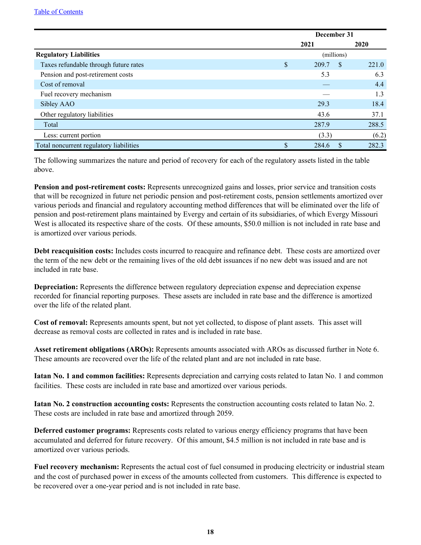|                                         | December 31 |       |          |       |
|-----------------------------------------|-------------|-------|----------|-------|
|                                         | 2021        |       |          | 2020  |
| <b>Regulatory Liabilities</b>           | (millions)  |       |          |       |
| Taxes refundable through future rates   | \$          | 209.7 | -S       | 221.0 |
| Pension and post-retirement costs       |             | 5.3   |          | 6.3   |
| Cost of removal                         |             |       |          | 4.4   |
| Fuel recovery mechanism                 |             |       |          | 1.3   |
| Sibley AAO                              |             | 29.3  |          | 18.4  |
| Other regulatory liabilities            |             | 43.6  |          | 37.1  |
| Total                                   |             | 287.9 |          | 288.5 |
| Less: current portion                   |             | (3.3) |          | (6.2) |
| Total noncurrent regulatory liabilities | \$          | 284.6 | <b>S</b> | 282.3 |

The following summarizes the nature and period of recovery for each of the regulatory assets listed in the table above.

**Pension and post-retirement costs:** Represents unrecognized gains and losses, prior service and transition costs that will be recognized in future net periodic pension and post-retirement costs, pension settlements amortized over various periods and financial and regulatory accounting method differences that will be eliminated over the life of pension and post-retirement plans maintained by Evergy and certain of its subsidiaries, of which Evergy Missouri West is allocated its respective share of the costs. Of these amounts, \$50.0 million is not included in rate base and is amortized over various periods.

**Debt reacquisition costs:** Includes costs incurred to reacquire and refinance debt. These costs are amortized over the term of the new debt or the remaining lives of the old debt issuances if no new debt was issued and are not included in rate base.

**Depreciation:** Represents the difference between regulatory depreciation expense and depreciation expense recorded for financial reporting purposes. These assets are included in rate base and the difference is amortized over the life of the related plant.

**Cost of removal:** Represents amounts spent, but not yet collected, to dispose of plant assets. This asset will decrease as removal costs are collected in rates and is included in rate base.

**Asset retirement obligations (AROs):** Represents amounts associated with AROs as discussed further in Note 6. These amounts are recovered over the life of the related plant and are not included in rate base.

**Iatan No. 1 and common facilities:** Represents depreciation and carrying costs related to Iatan No. 1 and common facilities. These costs are included in rate base and amortized over various periods.

**Iatan No. 2 construction accounting costs:** Represents the construction accounting costs related to Iatan No. 2. These costs are included in rate base and amortized through 2059.

**Deferred customer programs:** Represents costs related to various energy efficiency programs that have been accumulated and deferred for future recovery. Of this amount, \$4.5 million is not included in rate base and is amortized over various periods.

**Fuel recovery mechanism:** Represents the actual cost of fuel consumed in producing electricity or industrial steam and the cost of purchased power in excess of the amounts collected from customers. This difference is expected to be recovered over a one-year period and is not included in rate base.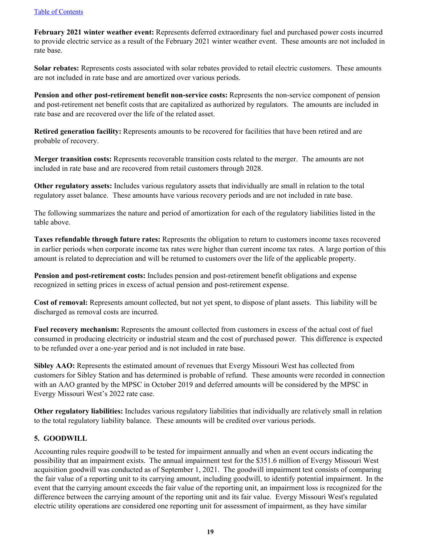<span id="page-18-0"></span>**February 2021 winter weather event:** Represents deferred extraordinary fuel and purchased power costs incurred to provide electric service as a result of the February 2021 winter weather event. These amounts are not included in rate base.

**Solar rebates:** Represents costs associated with solar rebates provided to retail electric customers. These amounts are not included in rate base and are amortized over various periods.

**Pension and other post-retirement benefit non-service costs:** Represents the non-service component of pension and post-retirement net benefit costs that are capitalized as authorized by regulators. The amounts are included in rate base and are recovered over the life of the related asset.

**Retired generation facility:** Represents amounts to be recovered for facilities that have been retired and are probable of recovery.

**Merger transition costs:** Represents recoverable transition costs related to the merger. The amounts are not included in rate base and are recovered from retail customers through 2028.

**Other regulatory assets:** Includes various regulatory assets that individually are small in relation to the total regulatory asset balance. These amounts have various recovery periods and are not included in rate base.

The following summarizes the nature and period of amortization for each of the regulatory liabilities listed in the table above.

**Taxes refundable through future rates:** Represents the obligation to return to customers income taxes recovered in earlier periods when corporate income tax rates were higher than current income tax rates. A large portion of this amount is related to depreciation and will be returned to customers over the life of the applicable property.

**Pension and post-retirement costs:** Includes pension and post-retirement benefit obligations and expense recognized in setting prices in excess of actual pension and post-retirement expense.

**Cost of removal:** Represents amount collected, but not yet spent, to dispose of plant assets. This liability will be discharged as removal costs are incurred.

**Fuel recovery mechanism:** Represents the amount collected from customers in excess of the actual cost of fuel consumed in producing electricity or industrial steam and the cost of purchased power. This difference is expected to be refunded over a one-year period and is not included in rate base.

**Sibley AAO:** Represents the estimated amount of revenues that Evergy Missouri West has collected from customers for Sibley Station and has determined is probable of refund. These amounts were recorded in connection with an AAO granted by the MPSC in October 2019 and deferred amounts will be considered by the MPSC in Evergy Missouri West's 2022 rate case.

**Other regulatory liabilities:** Includes various regulatory liabilities that individually are relatively small in relation to the total regulatory liability balance. These amounts will be credited over various periods.

#### **5. GOODWILL**

Accounting rules require goodwill to be tested for impairment annually and when an event occurs indicating the possibility that an impairment exists. The annual impairment test for the \$351.6 million of Evergy Missouri West acquisition goodwill was conducted as of September 1, 2021. The goodwill impairment test consists of comparing the fair value of a reporting unit to its carrying amount, including goodwill, to identify potential impairment. In the event that the carrying amount exceeds the fair value of the reporting unit, an impairment loss is recognized for the difference between the carrying amount of the reporting unit and its fair value. Evergy Missouri West's regulated electric utility operations are considered one reporting unit for assessment of impairment, as they have similar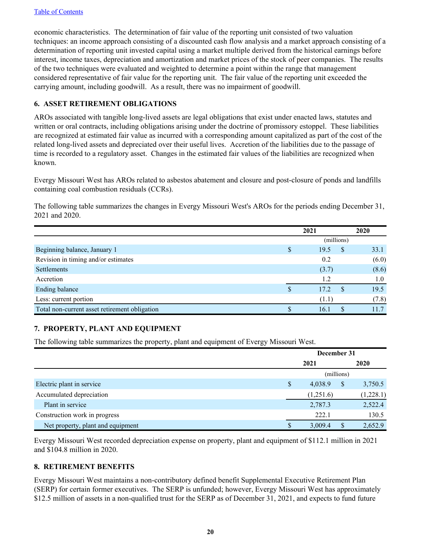<span id="page-19-0"></span>economic characteristics. The determination of fair value of the reporting unit consisted of two valuation techniques: an income approach consisting of a discounted cash flow analysis and a market approach consisting of a determination of reporting unit invested capital using a market multiple derived from the historical earnings before interest, income taxes, depreciation and amortization and market prices of the stock of peer companies. The results of the two techniques were evaluated and weighted to determine a point within the range that management considered representative of fair value for the reporting unit. The fair value of the reporting unit exceeded the carrying amount, including goodwill. As a result, there was no impairment of goodwill.

#### **6. ASSET RETIREMENT OBLIGATIONS**

AROs associated with tangible long-lived assets are legal obligations that exist under enacted laws, statutes and written or oral contracts, including obligations arising under the doctrine of promissory estoppel. These liabilities are recognized at estimated fair value as incurred with a corresponding amount capitalized as part of the cost of the related long-lived assets and depreciated over their useful lives. Accretion of the liabilities due to the passage of time is recorded to a regulatory asset. Changes in the estimated fair values of the liabilities are recognized when known.

Evergy Missouri West has AROs related to asbestos abatement and closure and post-closure of ponds and landfills containing coal combustion residuals (CCRs).

The following table summarizes the changes in Evergy Missouri West's AROs for the periods ending December 31, 2021 and 2020.

|                                               |    | 2021       |          | 2020  |
|-----------------------------------------------|----|------------|----------|-------|
|                                               |    | (millions) |          |       |
| Beginning balance, January 1                  | \$ | 19.5       | S        | 33.1  |
| Revision in timing and/or estimates           |    | 0.2        |          | (6.0) |
| <b>Settlements</b>                            |    | (3.7)      |          | (8.6) |
| Accretion                                     |    | 1.2        |          | 1.0   |
| Ending balance                                | S  | 17.2       | <b>S</b> | 19.5  |
| Less: current portion                         |    | (1.1)      |          | (7.8) |
| Total non-current asset retirement obligation |    | 16.1       |          |       |

#### **7. PROPERTY, PLANT AND EQUIPMENT**

The following table summarizes the property, plant and equipment of Evergy Missouri West.

|                                   | December 31   |            |           |  |  |
|-----------------------------------|---------------|------------|-----------|--|--|
|                                   | 2021          | 2020       |           |  |  |
|                                   |               | (millions) |           |  |  |
| Electric plant in service         | \$<br>4,038.9 | \$         | 3,750.5   |  |  |
| Accumulated depreciation          | (1,251.6)     |            | (1,228.1) |  |  |
| Plant in service                  | 2,787.3       |            | 2,522.4   |  |  |
| Construction work in progress     | 222.1         |            | 130.5     |  |  |
| Net property, plant and equipment | \$<br>3,009.4 |            | 2,652.9   |  |  |

Evergy Missouri West recorded depreciation expense on property, plant and equipment of \$112.1 million in 2021 and \$104.8 million in 2020.

#### **8. RETIREMENT BENEFITS**

Evergy Missouri West maintains a non-contributory defined benefit Supplemental Executive Retirement Plan (SERP) for certain former executives. The SERP is unfunded; however, Evergy Missouri West has approximately \$12.5 million of assets in a non-qualified trust for the SERP as of December 31, 2021, and expects to fund future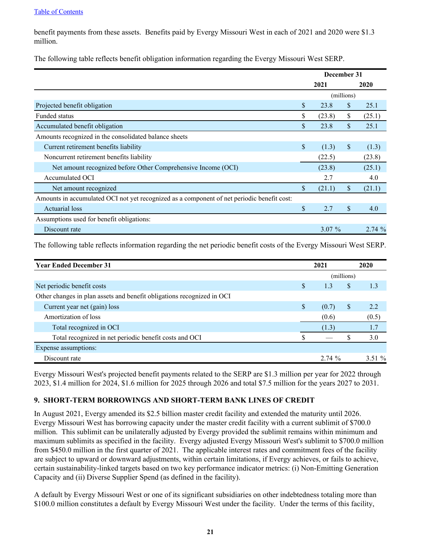#### <span id="page-20-0"></span>[Table of Contents](#page-1-0)

benefit payments from these assets. Benefits paid by Evergy Missouri West in each of 2021 and 2020 were \$1.3 million.

The following table reflects benefit obligation information regarding the Evergy Missouri West SERP.

|                                                                                            | December 31  |              |        |
|--------------------------------------------------------------------------------------------|--------------|--------------|--------|
|                                                                                            | 2021         |              | 2020   |
|                                                                                            |              | (millions)   |        |
| Projected benefit obligation                                                               | \$<br>23.8   | \$           | 25.1   |
| Funded status                                                                              | \$<br>(23.8) | \$           | (25.1) |
| Accumulated benefit obligation                                                             | \$<br>23.8   | \$           | 25.1   |
| Amounts recognized in the consolidated balance sheets                                      |              |              |        |
| Current retirement benefits liability                                                      | \$<br>(1.3)  | $\mathbb{S}$ | (1.3)  |
| Noncurrent retirement benefits liability                                                   | (22.5)       |              | (23.8) |
| Net amount recognized before Other Comprehensive Income (OCI)                              | (23.8)       |              | (25.1) |
| Accumulated OCI                                                                            | 2.7          |              | 4.0    |
| Net amount recognized                                                                      | \$<br>(21.1) | \$           | (21.1) |
| Amounts in accumulated OCI not yet recognized as a component of net periodic benefit cost: |              |              |        |
| <b>Actuarial</b> loss                                                                      | \$<br>2.7    | \$           | 4.0    |
| Assumptions used for benefit obligations:                                                  |              |              |        |
| Discount rate                                                                              | $3.07\%$     |              | 2.74%  |

The following table reflects information regarding the net periodic benefit costs of the Evergy Missouri West SERP.

| <b>Year Ended December 31</b>                                          | 2021 |            |    | 2020     |
|------------------------------------------------------------------------|------|------------|----|----------|
|                                                                        |      | (millions) |    |          |
| Net periodic benefit costs                                             | \$.  | 1.3        | S  | 1.3      |
| Other changes in plan assets and benefit obligations recognized in OCI |      |            |    |          |
| Current year net (gain) loss                                           | S    | (0.7)      | \$ | 2.2      |
| Amortization of loss                                                   |      | (0.6)      |    | (0.5)    |
| Total recognized in OCI                                                |      | (1.3)      |    | 1.7      |
| Total recognized in net periodic benefit costs and OCI                 |      |            |    | 3.0      |
| Expense assumptions:                                                   |      |            |    |          |
| Discount rate                                                          |      | 2.74%      |    | $3.51\%$ |

Evergy Missouri West's projected benefit payments related to the SERP are \$1.3 million per year for 2022 through 2023, \$1.4 million for 2024, \$1.6 million for 2025 through 2026 and total \$7.5 million for the years 2027 to 2031.

#### **9. SHORT-TERM BORROWINGS AND SHORT-TERM BANK LINES OF CREDIT**

In August 2021, Evergy amended its \$2.5 billion master credit facility and extended the maturity until 2026. Evergy Missouri West has borrowing capacity under the master credit facility with a current sublimit of \$700.0 million. This sublimit can be unilaterally adjusted by Evergy provided the sublimit remains within minimum and maximum sublimits as specified in the facility. Evergy adjusted Evergy Missouri West's sublimit to \$700.0 million from \$450.0 million in the first quarter of 2021. The applicable interest rates and commitment fees of the facility are subject to upward or downward adjustments, within certain limitations, if Evergy achieves, or fails to achieve, certain sustainability-linked targets based on two key performance indicator metrics: (i) Non-Emitting Generation Capacity and (ii) Diverse Supplier Spend (as defined in the facility).

A default by Evergy Missouri West or one of its significant subsidiaries on other indebtedness totaling more than \$100.0 million constitutes a default by Evergy Missouri West under the facility. Under the terms of this facility,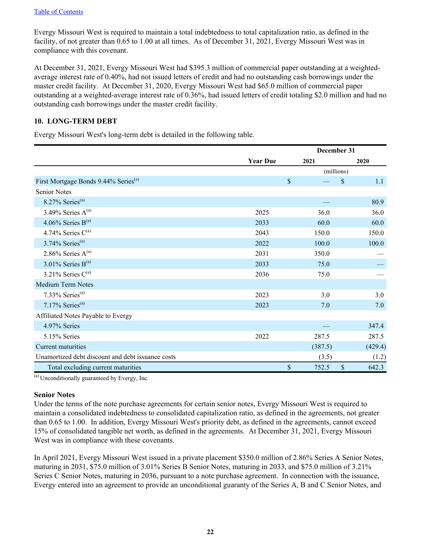<span id="page-21-0"></span>Evergy Missouri West is required to maintain a total indebtedness to total capitalization ratio, as defined in the facility, of not greater than 0.65 to 1.00 at all times. As of December 31, 2021, Evergy Missouri West was in compliance with this covenant.

At December 31, 2021, Evergy Missouri West had \$395.3 million of commercial paper outstanding at a weightedaverage interest rate of 0.40%, had not issued letters of credit and had no outstanding cash borrowings under the master credit facility. At December 31, 2020, Evergy Missouri West had \$65.0 million of commercial paper outstanding at a weighted-average interest rate of 0.36%, had issued letters of credit totaling \$2.0 million and had no outstanding cash borrowings under the master credit facility.

#### **10. LONG-TERM DEBT**

Evergy Missouri West's long-term debt is detailed in the following table.

|                                                   |                 |             | December 31 |         |
|---------------------------------------------------|-----------------|-------------|-------------|---------|
|                                                   | <b>Year Due</b> | 2021        |             | 2020    |
|                                                   |                 |             | (millions)  |         |
| First Mortgage Bonds 9.44% Series <sup>(a)</sup>  |                 | $\$$        | \$          | 1.1     |
| <b>Senior Notes</b>                               |                 |             |             |         |
| 8.27% Series <sup>(a)</sup>                       |                 |             |             | 80.9    |
| 3.49% Series $A^{(a)}$                            | 2025            |             | 36.0        | 36.0    |
| 4.06% Series $B^{(a)}$                            | 2033            |             | 60.0        | 60.0    |
| 4.74% Series $C^{(a)}$                            | 2043            | 150.0       |             | 150.0   |
| $3.74\%$ Series <sup>(a)</sup>                    | 2022            | 100.0       |             | 100.0   |
| 2.86% Series $A^{(a)}$                            | 2031            | 350.0       |             |         |
| 3.01% Series $B^{(a)}$                            | 2033            |             | 75.0        |         |
| 3.21% Series $C^{(a)}$                            | 2036            |             | 75.0        |         |
| <b>Medium Term Notes</b>                          |                 |             |             |         |
| 7.33% Series $(a)$                                | 2023            |             | 3.0         | 3.0     |
| 7.17% Series $(a)$                                | 2023            |             | 7.0         | 7.0     |
| Affiliated Notes Payable to Evergy                |                 |             |             |         |
| 4.97% Series                                      |                 |             |             | 347.4   |
| 5.15% Series                                      | 2022            | 287.5       |             | 287.5   |
| Current maturities                                |                 | (387.5)     |             | (429.4) |
| Unamortized debt discount and debt issuance costs |                 |             | (3.5)       | (1.2)   |
| Total excluding current maturities                |                 | \$<br>752.5 | \$          | 642.3   |

(a) Unconditionally guaranteed by Evergy, Inc.

#### **Senior Notes**

Under the terms of the note purchase agreements for certain senior notes, Evergy Missouri West is required to maintain a consolidated indebtedness to consolidated capitalization ratio, as defined in the agreements, not greater than 0.65 to 1.00. In addition, Evergy Missouri West's priority debt, as defined in the agreements, cannot exceed 15% of consolidated tangible net worth, as defined in the agreements. At December 31, 2021, Evergy Missouri West was in compliance with these covenants.

In April 2021, Evergy Missouri West issued in a private placement \$350.0 million of 2.86% Series A Senior Notes, maturing in 2031, \$75.0 million of 3.01% Series B Senior Notes, maturing in 2033, and \$75.0 million of 3.21% Series C Senior Notes, maturing in 2036, pursuant to a note purchase agreement. In connection with the issuance, Evergy entered into an agreement to provide an unconditional guaranty of the Series A, B and C Senior Notes, and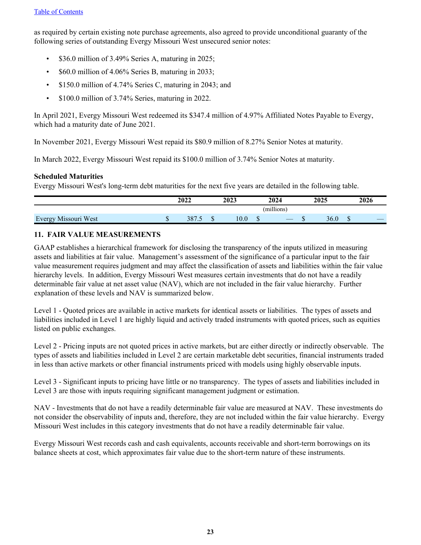<span id="page-22-0"></span>as required by certain existing note purchase agreements, also agreed to provide unconditional guaranty of the following series of outstanding Evergy Missouri West unsecured senior notes:

- \$36.0 million of 3.49% Series A, maturing in 2025;
- \$60.0 million of 4.06% Series B, maturing in 2033;
- \$150.0 million of 4.74% Series C, maturing in 2043; and
- \$100.0 million of 3.74% Series, maturing in 2022.

In April 2021, Evergy Missouri West redeemed its \$347.4 million of 4.97% Affiliated Notes Payable to Evergy, which had a maturity date of June 2021.

In November 2021, Evergy Missouri West repaid its \$80.9 million of 8.27% Senior Notes at maturity.

In March 2022, Evergy Missouri West repaid its \$100.0 million of 3.74% Senior Notes at maturity.

#### **Scheduled Maturities**

Evergy Missouri West's long-term debt maturities for the next five years are detailed in the following table.

|                         |   | 2022  |   | 2023 |     | 2024            | 2025 |    | 2026 |
|-------------------------|---|-------|---|------|-----|-----------------|------|----|------|
|                         |   |       |   |      |     | .<br>(millions) |      |    |      |
| Missouri West<br>Evergy | Ψ | 387.5 | w | 10.0 | ιIJ |                 | 36.C | J. |      |

#### **11. FAIR VALUE MEASUREMENTS**

GAAP establishes a hierarchical framework for disclosing the transparency of the inputs utilized in measuring assets and liabilities at fair value. Management's assessment of the significance of a particular input to the fair value measurement requires judgment and may affect the classification of assets and liabilities within the fair value hierarchy levels. In addition, Evergy Missouri West measures certain investments that do not have a readily determinable fair value at net asset value (NAV), which are not included in the fair value hierarchy. Further explanation of these levels and NAV is summarized below.

Level 1 - Quoted prices are available in active markets for identical assets or liabilities. The types of assets and liabilities included in Level 1 are highly liquid and actively traded instruments with quoted prices, such as equities listed on public exchanges.

Level 2 - Pricing inputs are not quoted prices in active markets, but are either directly or indirectly observable. The types of assets and liabilities included in Level 2 are certain marketable debt securities, financial instruments traded in less than active markets or other financial instruments priced with models using highly observable inputs.

Level 3 - Significant inputs to pricing have little or no transparency. The types of assets and liabilities included in Level 3 are those with inputs requiring significant management judgment or estimation.

NAV - Investments that do not have a readily determinable fair value are measured at NAV. These investments do not consider the observability of inputs and, therefore, they are not included within the fair value hierarchy. Evergy Missouri West includes in this category investments that do not have a readily determinable fair value.

Evergy Missouri West records cash and cash equivalents, accounts receivable and short-term borrowings on its balance sheets at cost, which approximates fair value due to the short-term nature of these instruments.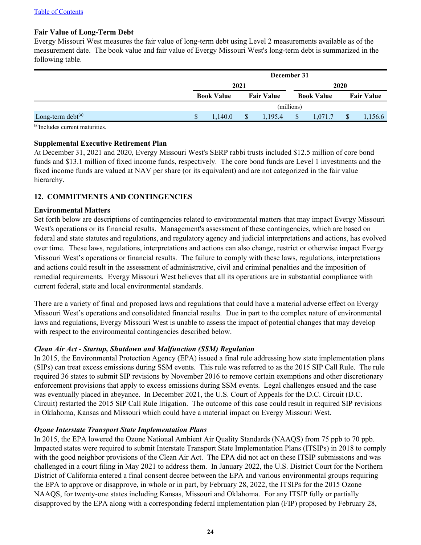#### <span id="page-23-0"></span>**Fair Value of Long-Term Debt**

Evergy Missouri West measures the fair value of long-term debt using Level 2 measurements available as of the measurement date. The book value and fair value of Evergy Missouri West's long-term debt is summarized in the following table.

|                               |   | December 31                            |   |                   |            |        |                   |         |
|-------------------------------|---|----------------------------------------|---|-------------------|------------|--------|-------------------|---------|
|                               |   | 2021                                   |   |                   |            |        | 2020              |         |
|                               |   | <b>Book Value</b><br><b>Fair Value</b> |   | <b>Book Value</b> |            |        | <b>Fair Value</b> |         |
|                               |   |                                        |   |                   | (millions) |        |                   |         |
| Long-term $debt^{(a)}$        | S | 1.140.0                                | S | 1.195.4           | \$         | .071.7 | S                 | 1,156.6 |
| $\mathcal{L}$ . $\mathcal{L}$ |   |                                        |   |                   |            |        |                   |         |

(a)Includes current maturities.

#### **Supplemental Executive Retirement Plan**

At December 31, 2021 and 2020, Evergy Missouri West's SERP rabbi trusts included \$12.5 million of core bond funds and \$13.1 million of fixed income funds, respectively. The core bond funds are Level 1 investments and the fixed income funds are valued at NAV per share (or its equivalent) and are not categorized in the fair value hierarchy.

#### **12. COMMITMENTS AND CONTINGENCIES**

#### **Environmental Matters**

Set forth below are descriptions of contingencies related to environmental matters that may impact Evergy Missouri West's operations or its financial results. Management's assessment of these contingencies, which are based on federal and state statutes and regulations, and regulatory agency and judicial interpretations and actions, has evolved over time. These laws, regulations, interpretations and actions can also change, restrict or otherwise impact Evergy Missouri West's operations or financial results. The failure to comply with these laws, regulations, interpretations and actions could result in the assessment of administrative, civil and criminal penalties and the imposition of remedial requirements. Evergy Missouri West believes that all its operations are in substantial compliance with current federal, state and local environmental standards.

There are a variety of final and proposed laws and regulations that could have a material adverse effect on Evergy Missouri West's operations and consolidated financial results. Due in part to the complex nature of environmental laws and regulations, Evergy Missouri West is unable to assess the impact of potential changes that may develop with respect to the environmental contingencies described below.

#### *Clean Air Act - Startup, Shutdown and Malfunction (SSM) Regulation*

In 2015, the Environmental Protection Agency (EPA) issued a final rule addressing how state implementation plans (SIPs) can treat excess emissions during SSM events. This rule was referred to as the 2015 SIP Call Rule. The rule required 36 states to submit SIP revisions by November 2016 to remove certain exemptions and other discretionary enforcement provisions that apply to excess emissions during SSM events. Legal challenges ensued and the case was eventually placed in abeyance. In December 2021, the U.S. Court of Appeals for the D.C. Circuit (D.C. Circuit) restarted the 2015 SIP Call Rule litigation. The outcome of this case could result in required SIP revisions in Oklahoma, Kansas and Missouri which could have a material impact on Evergy Missouri West.

#### *Ozone Interstate Transport State Implementation Plans*

In 2015, the EPA lowered the Ozone National Ambient Air Quality Standards (NAAQS) from 75 ppb to 70 ppb. Impacted states were required to submit Interstate Transport State Implementation Plans (ITSIPs) in 2018 to comply with the good neighbor provisions of the Clean Air Act. The EPA did not act on these ITSIP submissions and was challenged in a court filing in May 2021 to address them. In January 2022, the U.S. District Court for the Northern District of California entered a final consent decree between the EPA and various environmental groups requiring the EPA to approve or disapprove, in whole or in part, by February 28, 2022, the ITSIPs for the 2015 Ozone NAAQS, for twenty-one states including Kansas, Missouri and Oklahoma. For any ITSIP fully or partially disapproved by the EPA along with a corresponding federal implementation plan (FIP) proposed by February 28,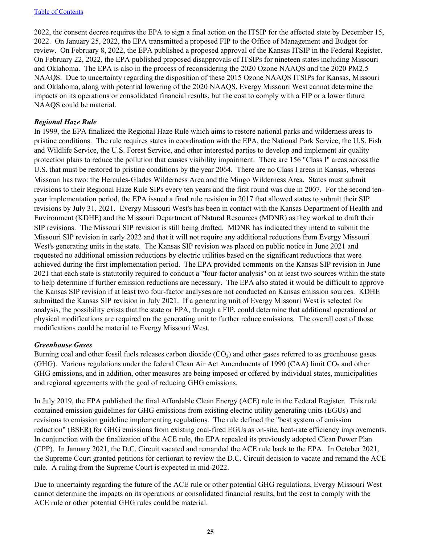2022, the consent decree requires the EPA to sign a final action on the ITSIP for the affected state by December 15, 2022. On January 25, 2022, the EPA transmitted a proposed FIP to the Office of Management and Budget for review. On February 8, 2022, the EPA published a proposed approval of the Kansas ITSIP in the Federal Register. On February 22, 2022, the EPA published proposed disapprovals of ITSIPs for nineteen states including Missouri and Oklahoma. The EPA is also in the process of reconsidering the 2020 Ozone NAAQS and the 2020 PM2.5 NAAQS. Due to uncertainty regarding the disposition of these 2015 Ozone NAAQS ITSIPs for Kansas, Missouri and Oklahoma, along with potential lowering of the 2020 NAAQS, Evergy Missouri West cannot determine the impacts on its operations or consolidated financial results, but the cost to comply with a FIP or a lower future NAAQS could be material.

#### *Regional Haze Rule*

In 1999, the EPA finalized the Regional Haze Rule which aims to restore national parks and wilderness areas to pristine conditions. The rule requires states in coordination with the EPA, the National Park Service, the U.S. Fish and Wildlife Service, the U.S. Forest Service, and other interested parties to develop and implement air quality protection plans to reduce the pollution that causes visibility impairment. There are 156 "Class I" areas across the U.S. that must be restored to pristine conditions by the year 2064. There are no Class I areas in Kansas, whereas Missouri has two: the Hercules-Glades Wilderness Area and the Mingo Wilderness Area. States must submit revisions to their Regional Haze Rule SIPs every ten years and the first round was due in 2007. For the second tenyear implementation period, the EPA issued a final rule revision in 2017 that allowed states to submit their SIP revisions by July 31, 2021. Evergy Missouri West's has been in contact with the Kansas Department of Health and Environment (KDHE) and the Missouri Department of Natural Resources (MDNR) as they worked to draft their SIP revisions. The Missouri SIP revision is still being drafted. MDNR has indicated they intend to submit the Missouri SIP revision in early 2022 and that it will not require any additional reductions from Evergy Missouri West's generating units in the state. The Kansas SIP revision was placed on public notice in June 2021 and requested no additional emission reductions by electric utilities based on the significant reductions that were achieved during the first implementation period. The EPA provided comments on the Kansas SIP revision in June 2021 that each state is statutorily required to conduct a "four-factor analysis" on at least two sources within the state to help determine if further emission reductions are necessary. The EPA also stated it would be difficult to approve the Kansas SIP revision if at least two four-factor analyses are not conducted on Kansas emission sources. KDHE submitted the Kansas SIP revision in July 2021. If a generating unit of Evergy Missouri West is selected for analysis, the possibility exists that the state or EPA, through a FIP, could determine that additional operational or physical modifications are required on the generating unit to further reduce emissions. The overall cost of those modifications could be material to Evergy Missouri West.

#### *Greenhouse Gases*

Burning coal and other fossil fuels releases carbon dioxide  $(CO<sub>2</sub>)$  and other gases referred to as greenhouse gases (GHG). Various regulations under the federal Clean Air Act Amendments of 1990 (CAA) limit  $CO<sub>2</sub>$  and other GHG emissions, and in addition, other measures are being imposed or offered by individual states, municipalities and regional agreements with the goal of reducing GHG emissions.

In July 2019, the EPA published the final Affordable Clean Energy (ACE) rule in the Federal Register. This rule contained emission guidelines for GHG emissions from existing electric utility generating units (EGUs) and revisions to emission guideline implementing regulations. The rule defined the "best system of emission reduction" (BSER) for GHG emissions from existing coal-fired EGUs as on-site, heat-rate efficiency improvements. In conjunction with the finalization of the ACE rule, the EPA repealed its previously adopted Clean Power Plan (CPP). In January 2021, the D.C. Circuit vacated and remanded the ACE rule back to the EPA. In October 2021, the Supreme Court granted petitions for certiorari to review the D.C. Circuit decision to vacate and remand the ACE rule. A ruling from the Supreme Court is expected in mid-2022.

Due to uncertainty regarding the future of the ACE rule or other potential GHG regulations, Evergy Missouri West cannot determine the impacts on its operations or consolidated financial results, but the cost to comply with the ACE rule or other potential GHG rules could be material.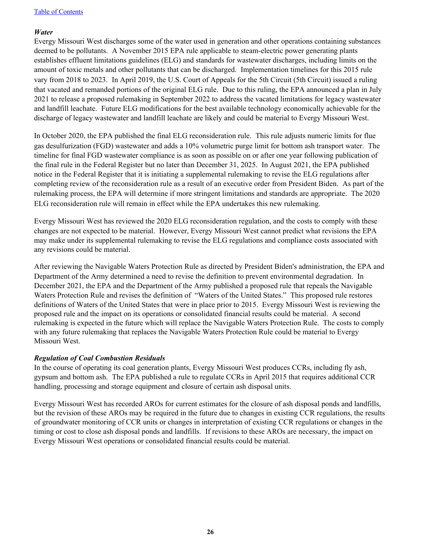#### *Water*

Evergy Missouri West discharges some of the water used in generation and other operations containing substances deemed to be pollutants. A November 2015 EPA rule applicable to steam-electric power generating plants establishes effluent limitations guidelines (ELG) and standards for wastewater discharges, including limits on the amount of toxic metals and other pollutants that can be discharged. Implementation timelines for this 2015 rule vary from 2018 to 2023. In April 2019, the U.S. Court of Appeals for the 5th Circuit (5th Circuit) issued a ruling that vacated and remanded portions of the original ELG rule. Due to this ruling, the EPA announced a plan in July 2021 to release a proposed rulemaking in September 2022 to address the vacated limitations for legacy wastewater and landfill leachate. Future ELG modifications for the best available technology economically achievable for the discharge of legacy wastewater and landfill leachate are likely and could be material to Evergy Missouri West.

In October 2020, the EPA published the final ELG reconsideration rule. This rule adjusts numeric limits for flue gas desulfurization (FGD) wastewater and adds a 10% volumetric purge limit for bottom ash transport water. The timeline for final FGD wastewater compliance is as soon as possible on or after one year following publication of the final rule in the Federal Register but no later than December 31, 2025. In August 2021, the EPA published notice in the Federal Register that it is initiating a supplemental rulemaking to revise the ELG regulations after completing review of the reconsideration rule as a result of an executive order from President Biden. As part of the rulemaking process, the EPA will determine if more stringent limitations and standards are appropriate. The 2020 ELG reconsideration rule will remain in effect while the EPA undertakes this new rulemaking.

Evergy Missouri West has reviewed the 2020 ELG reconsideration regulation, and the costs to comply with these changes are not expected to be material. However, Evergy Missouri West cannot predict what revisions the EPA may make under its supplemental rulemaking to revise the ELG regulations and compliance costs associated with any revisions could be material.

After reviewing the Navigable Waters Protection Rule as directed by President Biden's administration, the EPA and Department of the Army determined a need to revise the definition to prevent environmental degradation. In December 2021, the EPA and the Department of the Army published a proposed rule that repeals the Navigable Waters Protection Rule and revises the definition of "Waters of the United States." This proposed rule restores definitions of Waters of the United States that were in place prior to 2015. Evergy Missouri West is reviewing the proposed rule and the impact on its operations or consolidated financial results could be material. A second rulemaking is expected in the future which will replace the Navigable Waters Protection Rule. The costs to comply with any future rulemaking that replaces the Navigable Waters Protection Rule could be material to Evergy Missouri West.

#### *Regulation of Coal Combustion Residuals*

In the course of operating its coal generation plants, Evergy Missouri West produces CCRs, including fly ash, gypsum and bottom ash. The EPA published a rule to regulate CCRs in April 2015 that requires additional CCR handling, processing and storage equipment and closure of certain ash disposal units.

Evergy Missouri West has recorded AROs for current estimates for the closure of ash disposal ponds and landfills, but the revision of these AROs may be required in the future due to changes in existing CCR regulations, the results of groundwater monitoring of CCR units or changes in interpretation of existing CCR regulations or changes in the timing or cost to close ash disposal ponds and landfills. If revisions to these AROs are necessary, the impact on Evergy Missouri West operations or consolidated financial results could be material.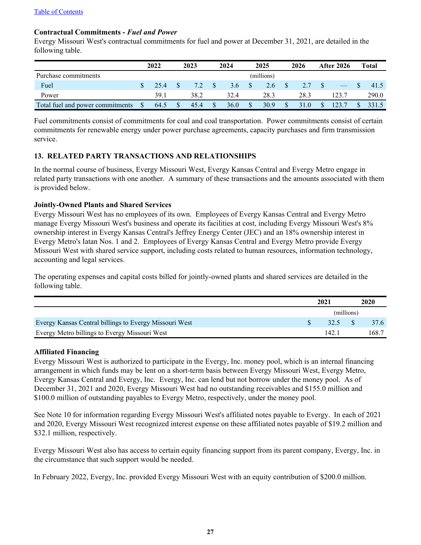#### <span id="page-26-0"></span>**Contractual Commitments -** *Fuel and Power*

Evergy Missouri West's contractual commitments for fuel and power at December 31, 2021, are detailed in the following table.

|                                  |              | 2022 |    | 2023 |               | 2024 |    | 2025       |               | 2026 | <b>After 2026</b> | <b>Total</b> |
|----------------------------------|--------------|------|----|------|---------------|------|----|------------|---------------|------|-------------------|--------------|
| Purchase commitments             |              |      |    |      |               |      |    | (millions) |               |      |                   |              |
| Fuel                             |              | 25.4 |    | 7.2  | -S            | 3.6  | S. | 2.6        | <sup>\$</sup> | 2.7  |                   | 41.5         |
| Power                            |              | 39.1 |    | 38.2 |               | 32.4 |    | 28.3       |               | 28.3 | 123.7             | 290.0        |
| Total fuel and power commitments | $\mathbb{S}$ | 64.5 | -S | 45.4 | $\mathcal{S}$ | 36.0 | S  | 30.9       |               | 31.0 |                   | 331.5        |

Fuel commitments consist of commitments for coal and coal transportation. Power commitments consist of certain commitments for renewable energy under power purchase agreements, capacity purchases and firm transmission service.

#### **13. RELATED PARTY TRANSACTIONS AND RELATIONSHIPS**

In the normal course of business, Evergy Missouri West, Evergy Kansas Central and Evergy Metro engage in related party transactions with one another. A summary of these transactions and the amounts associated with them is provided below.

#### **Jointly-Owned Plants and Shared Services**

Evergy Missouri West has no employees of its own. Employees of Evergy Kansas Central and Evergy Metro manage Evergy Missouri West's business and operate its facilities at cost, including Evergy Missouri West's 8% ownership interest in Evergy Kansas Central's Jeffrey Energy Center (JEC) and an 18% ownership interest in Evergy Metro's Iatan Nos. 1 and 2. Employees of Evergy Kansas Central and Evergy Metro provide Evergy Missouri West with shared service support, including costs related to human resources, information technology, accounting and legal services.

The operating expenses and capital costs billed for jointly-owned plants and shared services are detailed in the following table.

|                                                        | 2021  |            | 2020  |
|--------------------------------------------------------|-------|------------|-------|
|                                                        |       | (millions) |       |
| Evergy Kansas Central billings to Evergy Missouri West | 32.5  |            | 37.6  |
| Evergy Metro billings to Evergy Missouri West          | 142.1 |            | 168.7 |

#### **Affiliated Financing**

Evergy Missouri West is authorized to participate in the Evergy, Inc. money pool, which is an internal financing arrangement in which funds may be lent on a short-term basis between Evergy Missouri West, Evergy Metro, Evergy Kansas Central and Evergy, Inc. Evergy, Inc. can lend but not borrow under the money pool. As of December 31, 2021 and 2020, Evergy Missouri West had no outstanding receivables and \$155.0 million and \$100.0 million of outstanding payables to Evergy Metro, respectively, under the money pool.

See Note 10 for information regarding Evergy Missouri West's affiliated notes payable to Evergy. In each of 2021 and 2020, Evergy Missouri West recognized interest expense on these affiliated notes payable of \$19.2 million and \$32.1 million, respectively.

Evergy Missouri West also has access to certain equity financing support from its parent company, Evergy, Inc. in the circumstance that such support would be needed.

In February 2022, Evergy, Inc. provided Evergy Missouri West with an equity contribution of \$200.0 million.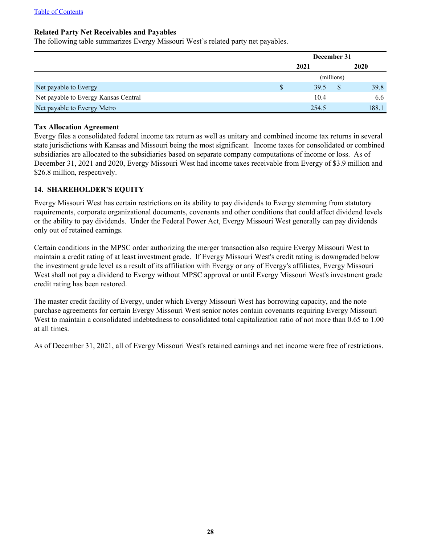#### <span id="page-27-0"></span>**Related Party Net Receivables and Payables**

The following table summarizes Evergy Missouri West's related party net payables.

|                                      |   | December 31 |            |       |  |
|--------------------------------------|---|-------------|------------|-------|--|
|                                      |   | 2021        |            | 2020  |  |
|                                      |   |             | (millions) |       |  |
| Net payable to Evergy                | S | 39.5        |            | 39.8  |  |
| Net payable to Evergy Kansas Central |   | 10.4        |            | 6.6   |  |
| Net payable to Evergy Metro          |   | 254.5       |            | 188.1 |  |

#### **Tax Allocation Agreement**

Evergy files a consolidated federal income tax return as well as unitary and combined income tax returns in several state jurisdictions with Kansas and Missouri being the most significant. Income taxes for consolidated or combined subsidiaries are allocated to the subsidiaries based on separate company computations of income or loss. As of December 31, 2021 and 2020, Evergy Missouri West had income taxes receivable from Evergy of \$3.9 million and \$26.8 million, respectively.

#### **14. SHAREHOLDER'S EQUITY**

Evergy Missouri West has certain restrictions on its ability to pay dividends to Evergy stemming from statutory requirements, corporate organizational documents, covenants and other conditions that could affect dividend levels or the ability to pay dividends. Under the Federal Power Act, Evergy Missouri West generally can pay dividends only out of retained earnings.

Certain conditions in the MPSC order authorizing the merger transaction also require Evergy Missouri West to maintain a credit rating of at least investment grade. If Evergy Missouri West's credit rating is downgraded below the investment grade level as a result of its affiliation with Evergy or any of Evergy's affiliates, Evergy Missouri West shall not pay a dividend to Evergy without MPSC approval or until Evergy Missouri West's investment grade credit rating has been restored.

The master credit facility of Evergy, under which Evergy Missouri West has borrowing capacity, and the note purchase agreements for certain Evergy Missouri West senior notes contain covenants requiring Evergy Missouri West to maintain a consolidated indebtedness to consolidated total capitalization ratio of not more than 0.65 to 1.00 at all times.

As of December 31, 2021, all of Evergy Missouri West's retained earnings and net income were free of restrictions.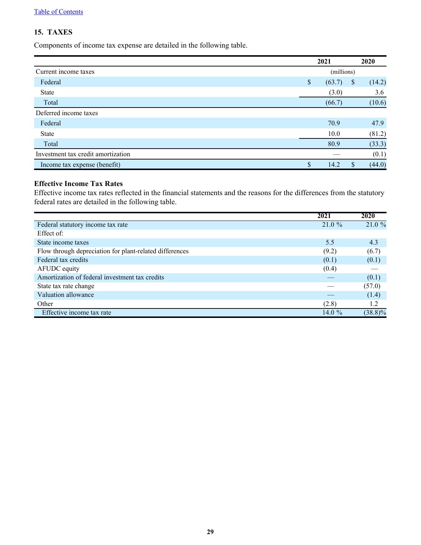# <span id="page-28-0"></span>**15. TAXES**

Components of income tax expense are detailed in the following table.

|                                    | 2021         |    | 2020   |
|------------------------------------|--------------|----|--------|
| Current income taxes               | (millions)   |    |        |
| Federal                            | \$<br>(63.7) | S  | (14.2) |
| <b>State</b>                       | (3.0)        |    | 3.6    |
| Total                              | (66.7)       |    | (10.6) |
| Deferred income taxes              |              |    |        |
| Federal                            | 70.9         |    | 47.9   |
| <b>State</b>                       | 10.0         |    | (81.2) |
| Total                              | 80.9         |    | (33.3) |
| Investment tax credit amortization |              |    | (0.1)  |
| Income tax expense (benefit)       | \$<br>14.2   | \$ | (44.0) |

#### **Effective Income Tax Rates**

Effective income tax rates reflected in the financial statements and the reasons for the differences from the statutory federal rates are detailed in the following table.

|                                                         | 2021     | 2020       |
|---------------------------------------------------------|----------|------------|
| Federal statutory income tax rate                       | 21.0%    | 21.0%      |
| Effect of:                                              |          |            |
| State income taxes                                      | 5.5      | 4.3        |
| Flow through depreciation for plant-related differences | (9.2)    | (6.7)      |
| Federal tax credits                                     | (0.1)    | (0.1)      |
| AFUDC equity                                            | (0.4)    |            |
| Amortization of federal investment tax credits          |          | (0.1)      |
| State tax rate change                                   |          | (57.0)     |
| Valuation allowance                                     |          | (1.4)      |
| Other                                                   | (2.8)    | 1.2        |
| Effective income tax rate                               | 14.0 $%$ | $(38.8)\%$ |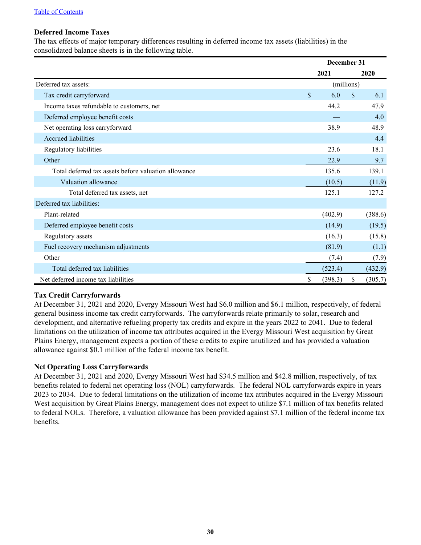#### **Deferred Income Taxes**

The tax effects of major temporary differences resulting in deferred income tax assets (liabilities) in the consolidated balance sheets is in the following table.

|                                                      |              | December 31 |               |         |  |  |
|------------------------------------------------------|--------------|-------------|---------------|---------|--|--|
|                                                      |              | 2021        |               | 2020    |  |  |
| Deferred tax assets:                                 |              | (millions)  |               |         |  |  |
| Tax credit carryforward                              | $\mathbb{S}$ | 6.0         | $\mathbf{\$}$ | 6.1     |  |  |
| Income taxes refundable to customers, net            |              | 44.2        |               | 47.9    |  |  |
| Deferred employee benefit costs                      |              |             |               | 4.0     |  |  |
| Net operating loss carryforward                      |              | 38.9        |               | 48.9    |  |  |
| <b>Accrued liabilities</b>                           |              |             |               | 4.4     |  |  |
| Regulatory liabilities                               |              | 23.6        |               | 18.1    |  |  |
| Other                                                |              | 22.9        |               | 9.7     |  |  |
| Total deferred tax assets before valuation allowance |              | 135.6       |               | 139.1   |  |  |
| Valuation allowance                                  |              | (10.5)      |               | (11.9)  |  |  |
| Total deferred tax assets, net                       |              | 125.1       |               | 127.2   |  |  |
| Deferred tax liabilities:                            |              |             |               |         |  |  |
| Plant-related                                        |              | (402.9)     |               | (388.6) |  |  |
| Deferred employee benefit costs                      |              | (14.9)      |               | (19.5)  |  |  |
| Regulatory assets                                    |              | (16.3)      |               | (15.8)  |  |  |
| Fuel recovery mechanism adjustments                  |              | (81.9)      |               | (1.1)   |  |  |
| Other                                                |              | (7.4)       |               | (7.9)   |  |  |
| Total deferred tax liabilities                       |              | (523.4)     |               | (432.9) |  |  |
| Net deferred income tax liabilities                  | \$           | (398.3)     | \$            | (305.7) |  |  |

#### **Tax Credit Carryforwards**

At December 31, 2021 and 2020, Evergy Missouri West had \$6.0 million and \$6.1 million, respectively, of federal general business income tax credit carryforwards. The carryforwards relate primarily to solar, research and development, and alternative refueling property tax credits and expire in the years 2022 to 2041. Due to federal limitations on the utilization of income tax attributes acquired in the Evergy Missouri West acquisition by Great Plains Energy, management expects a portion of these credits to expire unutilized and has provided a valuation allowance against \$0.1 million of the federal income tax benefit.

#### **Net Operating Loss Carryforwards**

At December 31, 2021 and 2020, Evergy Missouri West had \$34.5 million and \$42.8 million, respectively, of tax benefits related to federal net operating loss (NOL) carryforwards. The federal NOL carryforwards expire in years 2023 to 2034. Due to federal limitations on the utilization of income tax attributes acquired in the Evergy Missouri West acquisition by Great Plains Energy, management does not expect to utilize \$7.1 million of tax benefits related to federal NOLs. Therefore, a valuation allowance has been provided against \$7.1 million of the federal income tax benefits.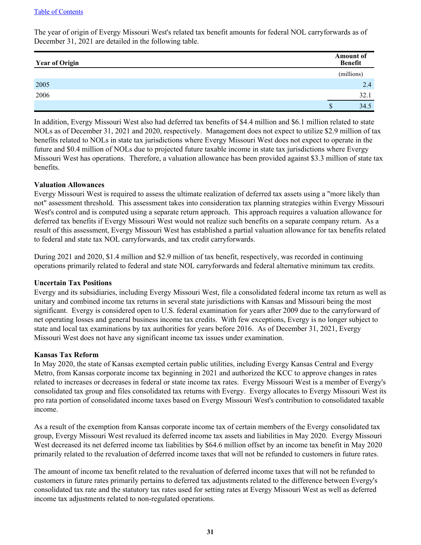The year of origin of Evergy Missouri West's related tax benefit amounts for federal NOL carryforwards as of December 31, 2021 are detailed in the following table.

| <b>Year of Origin</b> | <b>Amount of</b><br><b>Benefit</b> |
|-----------------------|------------------------------------|
|                       | (millions)                         |
| 2005                  | 2.4                                |
| 2006                  | 32.1                               |
|                       | 34.5<br>-JD                        |

In addition, Evergy Missouri West also had deferred tax benefits of \$4.4 million and \$6.1 million related to state NOLs as of December 31, 2021 and 2020, respectively. Management does not expect to utilize \$2.9 million of tax benefits related to NOLs in state tax jurisdictions where Evergy Missouri West does not expect to operate in the future and \$0.4 million of NOLs due to projected future taxable income in state tax jurisdictions where Evergy Missouri West has operations. Therefore, a valuation allowance has been provided against \$3.3 million of state tax benefits.

#### **Valuation Allowances**

Evergy Missouri West is required to assess the ultimate realization of deferred tax assets using a "more likely than not" assessment threshold. This assessment takes into consideration tax planning strategies within Evergy Missouri West's control and is computed using a separate return approach. This approach requires a valuation allowance for deferred tax benefits if Evergy Missouri West would not realize such benefits on a separate company return. As a result of this assessment, Evergy Missouri West has established a partial valuation allowance for tax benefits related to federal and state tax NOL carryforwards, and tax credit carryforwards.

During 2021 and 2020, \$1.4 million and \$2.9 million of tax benefit, respectively, was recorded in continuing operations primarily related to federal and state NOL carryforwards and federal alternative minimum tax credits.

#### **Uncertain Tax Positions**

Evergy and its subsidiaries, including Evergy Missouri West, file a consolidated federal income tax return as well as unitary and combined income tax returns in several state jurisdictions with Kansas and Missouri being the most significant. Evergy is considered open to U.S. federal examination for years after 2009 due to the carryforward of net operating losses and general business income tax credits. With few exceptions, Evergy is no longer subject to state and local tax examinations by tax authorities for years before 2016. As of December 31, 2021, Evergy Missouri West does not have any significant income tax issues under examination.

#### **Kansas Tax Reform**

In May 2020, the state of Kansas exempted certain public utilities, including Evergy Kansas Central and Evergy Metro, from Kansas corporate income tax beginning in 2021 and authorized the KCC to approve changes in rates related to increases or decreases in federal or state income tax rates. Evergy Missouri West is a member of Evergy's consolidated tax group and files consolidated tax returns with Evergy. Evergy allocates to Evergy Missouri West its pro rata portion of consolidated income taxes based on Evergy Missouri West's contribution to consolidated taxable income.

As a result of the exemption from Kansas corporate income tax of certain members of the Evergy consolidated tax group, Evergy Missouri West revalued its deferred income tax assets and liabilities in May 2020. Evergy Missouri West decreased its net deferred income tax liabilities by \$64.6 million offset by an income tax benefit in May 2020 primarily related to the revaluation of deferred income taxes that will not be refunded to customers in future rates.

The amount of income tax benefit related to the revaluation of deferred income taxes that will not be refunded to customers in future rates primarily pertains to deferred tax adjustments related to the difference between Evergy's consolidated tax rate and the statutory tax rates used for setting rates at Evergy Missouri West as well as deferred income tax adjustments related to non-regulated operations.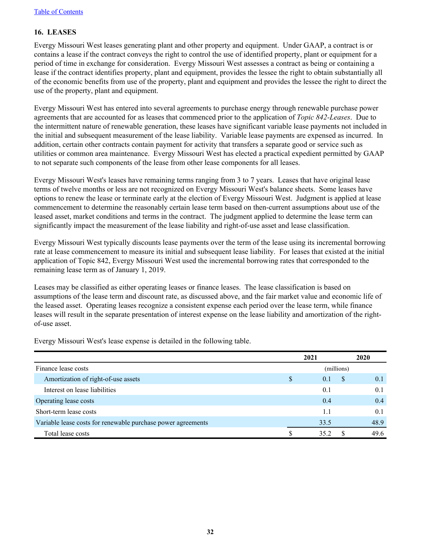#### <span id="page-31-0"></span>**16. LEASES**

Evergy Missouri West leases generating plant and other property and equipment. Under GAAP, a contract is or contains a lease if the contract conveys the right to control the use of identified property, plant or equipment for a period of time in exchange for consideration. Evergy Missouri West assesses a contract as being or containing a lease if the contract identifies property, plant and equipment, provides the lessee the right to obtain substantially all of the economic benefits from use of the property, plant and equipment and provides the lessee the right to direct the use of the property, plant and equipment.

Evergy Missouri West has entered into several agreements to purchase energy through renewable purchase power agreements that are accounted for as leases that commenced prior to the application of *Topic 842-Leases*. Due to the intermittent nature of renewable generation, these leases have significant variable lease payments not included in the initial and subsequent measurement of the lease liability. Variable lease payments are expensed as incurred. In addition, certain other contracts contain payment for activity that transfers a separate good or service such as utilities or common area maintenance. Evergy Missouri West has elected a practical expedient permitted by GAAP to not separate such components of the lease from other lease components for all leases.

Evergy Missouri West's leases have remaining terms ranging from 3 to 7 years. Leases that have original lease terms of twelve months or less are not recognized on Evergy Missouri West's balance sheets. Some leases have options to renew the lease or terminate early at the election of Evergy Missouri West. Judgment is applied at lease commencement to determine the reasonably certain lease term based on then-current assumptions about use of the leased asset, market conditions and terms in the contract. The judgment applied to determine the lease term can significantly impact the measurement of the lease liability and right-of-use asset and lease classification.

Evergy Missouri West typically discounts lease payments over the term of the lease using its incremental borrowing rate at lease commencement to measure its initial and subsequent lease liability. For leases that existed at the initial application of Topic 842, Evergy Missouri West used the incremental borrowing rates that corresponded to the remaining lease term as of January 1, 2019.

Leases may be classified as either operating leases or finance leases. The lease classification is based on assumptions of the lease term and discount rate, as discussed above, and the fair market value and economic life of the leased asset. Operating leases recognize a consistent expense each period over the lease term, while finance leases will result in the separate presentation of interest expense on the lease liability and amortization of the rightof-use asset.

Evergy Missouri West's lease expense is detailed in the following table.

|                                                              |   | 2021       |    | 2020        |
|--------------------------------------------------------------|---|------------|----|-------------|
| Finance lease costs                                          |   | (millions) |    |             |
| Amortization of right-of-use assets                          | S | 0.1        | -S | 0.1         |
| Interest on lease liabilities                                |   | 0.1        |    | $0^{\circ}$ |
| Operating lease costs                                        |   | 0.4        |    | 0.4         |
| Short-term lease costs                                       |   | 1.1        |    | 0.1         |
| Variable lease costs for renewable purchase power agreements |   | 33.5       |    | 48.9        |
| Total lease costs                                            |   | 352        |    | 49.6        |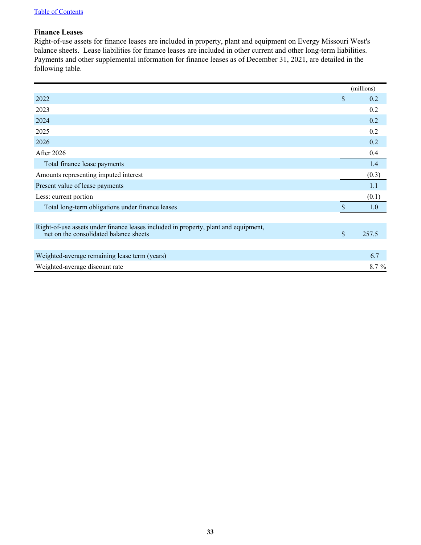### **Finance Leases**

Right-of-use assets for finance leases are included in property, plant and equipment on Evergy Missouri West's balance sheets. Lease liabilities for finance leases are included in other current and other long-term liabilities. Payments and other supplemental information for finance leases as of December 31, 2021, are detailed in the following table.

|                                                                                                                               |              | (millions) |
|-------------------------------------------------------------------------------------------------------------------------------|--------------|------------|
| 2022                                                                                                                          | $\mathbb{S}$ | 0.2        |
| 2023                                                                                                                          |              | 0.2        |
| 2024                                                                                                                          |              | 0.2        |
| 2025                                                                                                                          |              | 0.2        |
| 2026                                                                                                                          |              | 0.2        |
| After 2026                                                                                                                    |              | 0.4        |
| Total finance lease payments                                                                                                  |              | 1.4        |
| Amounts representing imputed interest                                                                                         |              | (0.3)      |
| Present value of lease payments                                                                                               |              | 1.1        |
| Less: current portion                                                                                                         |              | (0.1)      |
| Total long-term obligations under finance leases                                                                              | $\mathbb{S}$ | 1.0        |
|                                                                                                                               |              |            |
| Right-of-use assets under finance leases included in property, plant and equipment,<br>net on the consolidated balance sheets | $\mathbb{S}$ | 257.5      |
|                                                                                                                               |              |            |
| Weighted-average remaining lease term (years)                                                                                 |              | 6.7        |
| Weighted-average discount rate                                                                                                |              | 8.7 %      |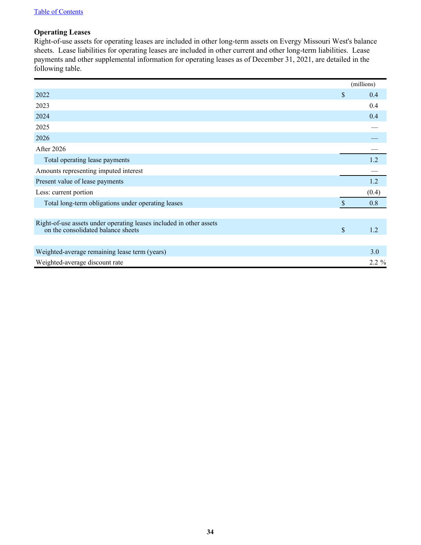# **Operating Leases**

Right-of-use assets for operating leases are included in other long-term assets on Evergy Missouri West's balance sheets. Lease liabilities for operating leases are included in other current and other long-term liabilities. Lease payments and other supplemental information for operating leases as of December 31, 2021, are detailed in the following table.

|                                                                                                           |              | (millions) |
|-----------------------------------------------------------------------------------------------------------|--------------|------------|
| 2022                                                                                                      | $\mathbb{S}$ | 0.4        |
| 2023                                                                                                      |              | 0.4        |
| 2024                                                                                                      |              | 0.4        |
| 2025                                                                                                      |              |            |
| 2026                                                                                                      |              |            |
| After 2026                                                                                                |              |            |
| Total operating lease payments                                                                            |              | 1.2        |
| Amounts representing imputed interest                                                                     |              |            |
| Present value of lease payments                                                                           |              | 1.2        |
| Less: current portion                                                                                     |              | (0.4)      |
| Total long-term obligations under operating leases                                                        | \$           | 0.8        |
|                                                                                                           |              |            |
| Right-of-use assets under operating leases included in other assets<br>on the consolidated balance sheets | \$           | 1.2        |
|                                                                                                           |              |            |
| Weighted-average remaining lease term (years)                                                             |              | 3.0        |
| Weighted-average discount rate                                                                            |              | $2.2 \%$   |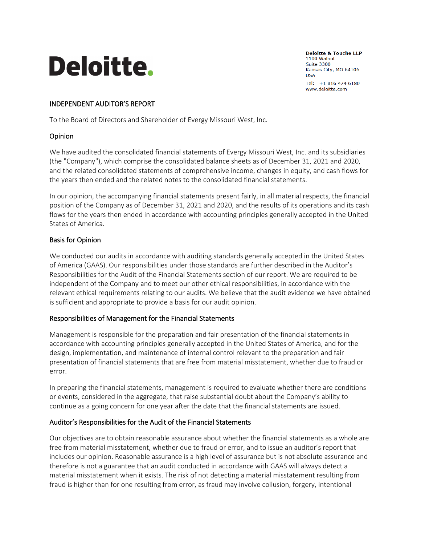# **Deloitte.**

**Deloitte & Touche LLP** 1100 Walnut **Suite 3300** Kansas City, MO 64106 **LISA** Tel: +1 816 474 6180 www.deloitte.com

#### INDEPENDENT AUDITOR'S REPORT

To the Board of Directors and Shareholder of Evergy Missouri West, Inc.

#### Opinion

We have audited the consolidated financial statements of Evergy Missouri West, Inc. and its subsidiaries (the "Company"), which comprise the consolidated balance sheets as of December 31, 2021 and 2020, and the related consolidated statements of comprehensive income, changes in equity, and cash flows for the years then ended and the related notes to the consolidated financial statements.

In our opinion, the accompanying financial statements present fairly, in all material respects, the financial position of the Company as of December 31, 2021 and 2020, and the results of its operations and its cash flows for the years then ended in accordance with accounting principles generally accepted in the United States of America.

#### Basis for Opinion

We conducted our audits in accordance with auditing standards generally accepted in the United States of America (GAAS). Our responsibilities under those standards are further described in the Auditor's Responsibilities for the Audit of the Financial Statements section of our report. We are required to be independent of the Company and to meet our other ethical responsibilities, in accordance with the relevant ethical requirements relating to our audits. We believe that the audit evidence we have obtained is sufficient and appropriate to provide a basis for our audit opinion.

#### Responsibilities of Management for the Financial Statements

Management is responsible for the preparation and fair presentation of the financial statements in accordance with accounting principles generally accepted in the United States of America, and for the design, implementation, and maintenance of internal control relevant to the preparation and fair presentation of financial statements that are free from material misstatement, whether due to fraud or error.

In preparing the financial statements, management is required to evaluate whether there are conditions or events, considered in the aggregate, that raise substantial doubt about the Company's ability to continue as a going concern for one year after the date that the financial statements are issued.

#### Auditor's Responsibilities for the Audit of the Financial Statements

Our objectives are to obtain reasonable assurance about whether the financial statements as a whole are free from material misstatement, whether due to fraud or error, and to issue an auditor's report that includes our opinion. Reasonable assurance is a high level of assurance but is not absolute assurance and therefore is not a guarantee that an audit conducted in accordance with GAAS will always detect a material misstatement when it exists. The risk of not detecting a material misstatement resulting from fraud is higher than for one resulting from error, as fraud may involve collusion, forgery, intentional